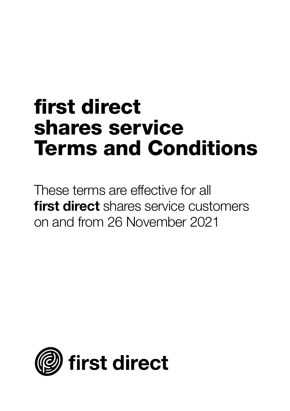# **first direct shares service Terms and Conditions**

These terms are effective for all **first direct** shares service customers on and from 26 November 2021

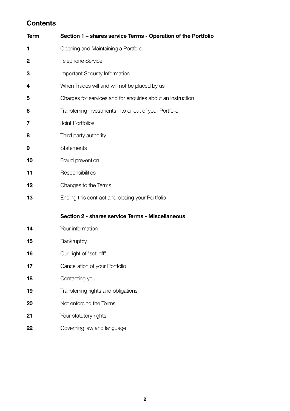## **Contents**

| Term | Section 1 - shares service Terms - Operation of the Portfolio |  |
|------|---------------------------------------------------------------|--|
| 1    | Opening and Maintaining a Portfolio                           |  |
| 2    | <b>Telephone Service</b>                                      |  |
| 3    | Important Security Information                                |  |
| 4    | When Trades will and will not be placed by us                 |  |
| 5    | Charges for services and for enquiries about an instruction   |  |
| 6    | Transferring investments into or out of your Portfolio        |  |
| 7    | Joint Portfolios                                              |  |
| 8    | Third party authority                                         |  |
| 9    | <b>Statements</b>                                             |  |
| 10   | Fraud prevention                                              |  |
| 11   | Responsibilities                                              |  |
| 12   | Changes to the Terms                                          |  |
| 13   | Ending this contract and closing your Portfolio               |  |
|      | Section 2 - shares service Terms - Miscellaneous              |  |
| 14   | Your information                                              |  |
| 15   | Bankruptcy                                                    |  |
| 16   | Our right of "set-off"                                        |  |
| 17   | Cancellation of your Portfolio                                |  |
| 18   | Contacting you                                                |  |
| 19   | Transferring rights and obligations                           |  |
| 20   | Not enforcing the Terms                                       |  |
| 21   | Your statutory rights                                         |  |
|      |                                                               |  |
| 22   | Governing law and language                                    |  |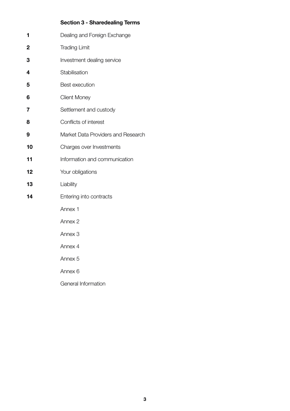## **Section 3 - Sharedealing Terms**

| 1  | Dealing and Foreign Exchange       |
|----|------------------------------------|
| 2  | <b>Trading Limit</b>               |
| 3  | Investment dealing service         |
| 4  | Stabilisation                      |
| 5  | Best execution                     |
| 6  | <b>Client Money</b>                |
| 7  | Settlement and custody             |
| 8  | Conflicts of interest              |
| 9  | Market Data Providers and Research |
| 10 | Charges over Investments           |
| 11 | Information and communication      |
| 12 | Your obligations                   |
| 13 | Liability                          |
| 14 | Entering into contracts            |
|    | Annex 1                            |
|    | Annex 2                            |
|    | Annex <sub>3</sub>                 |
|    | Annex 4                            |
|    | Annex <sub>5</sub>                 |
|    | Annex <sub>6</sub>                 |
|    |                                    |

General Information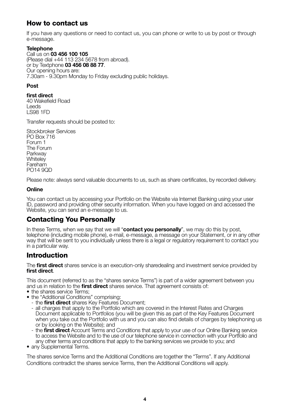## **How to contact us**

If you have any questions or need to contact us, you can phone or write to us by post or through e-message.

#### **Telephone**

Call us on **03 456 100 105** (Please dial +44 113 234 5678 from abroad). or by Textphone **03 456 08 88 77**. Our opening hours are: 7.30am - 9.30pm Monday to Friday excluding public holidays.

#### **Post**

**first direct**  40 Wakefield Road Leeds LS98 1FD

Transfer requests should be posted to:

Stockbroker Services PO Box 716 Forum 1 The Forum Parkway **Whiteley** Fareham  $POM4$  90D

Please note: always send valuable documents to us, such as share certificates, by recorded delivery.

#### **Online**

You can contact us by accessing your Portfolio on the Website via Internet Banking using your user ID, password and providing other security information. When you have logged on and accessed the Website, you can send an e-message to us.

## **Contacting You Personally**

In these Terms, when we say that we will "**contact you personally**", we may do this by post, telephone (including mobile phone), e-mail, e-message, a message on your Statement, or in any other way that will be sent to you individually unless there is a legal or regulatory requirement to contact you in a particular way.

## **Introduction**

The **first direct** shares service is an execution-only sharedealing and investment service provided by **first direct**.

This document (referred to as the "shares service Terms") is part of a wider agreement between you and us in relation to the **first direct** shares service. That agreement consists of:

- the shares service Terms:
- the "Additional Conditions" comprising:
	- the **first direct** shares Key Features Document;
	- all charges that apply to the Portfolio which are covered in the Interest Rates and Charges Document applicable to Portfolios (you will be given this as part of the Key Features Document when you take out the Portfolio with us and you can also find details of charges by telephoning us or by looking on the Website); and
	- the **first direct** Account Terms and Conditions that apply to your use of our Online Banking service to access the Website and to the use of our telephone service in connection with your Portfolio and any other terms and conditions that apply to the banking services we provide to you; and
- any Supplemental Terms.

The shares service Terms and the Additional Conditions are together the "Terms". If any Additional Conditions contradict the shares service Terms, then the Additional Conditions will apply.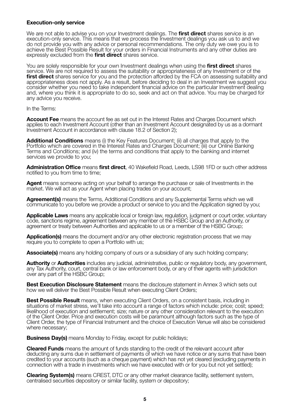#### **Execution-only service**

We are not able to advise you on your Investment dealings. The **first direct** shares service is an execution-only service. This means that we process the Investment dealings you ask us to and we do not provide you with any advice or personal recommendations. The only duty we owe you is to achieve the Best Possible Result for your orders in Financial Instruments and any other duties are expressly excluded from the **first direct** shares service.

You are solely responsible for your own Investment dealings when using the **first direct** shares service. We are not required to assess the suitability or appropriateness of any Investment or of the **first direct** shares service for you and the protection afforded by the FCA on assessing suitability and appropriateness does not apply. As a result, before deciding to deal in an Investment we suggest you consider whether you need to take independent financial advice on the particular Investment dealing and, where you think it is appropriate to do so, seek and act on that advice. You may be charged for any advice you receive.

In the Terms:

**Account Fee** means the account fee as set out in the Interest Rates and Charges Document which applies to each Investment Account (other than an Investment Account designated by us as a dormant Investment Account in accordance with clause 18.2 of Section 2);

**Additional Conditions** means (i) the Key Features Document; (ii) all charges that apply to the Portfolio which are covered in the Interest Rates and Charges Document; (iii) our Online Banking Terms and Conditions; and (iv) the terms and conditions that apply to the banking and internet services we provide to you;

**Administration Office** means **first direct**, 40 Wakefield Road, Leeds, LS98 1FD or such other address notified to you from time to time;

**Agent** means someone acting on your behalf to arrange the purchase or sale of Investments in the market. We will act as your Agent when placing trades on your account;

**Agreement(s)** means the Terms, Additional Conditions and any Supplemental Terms which we will communicate to you before we provide a product or service to you and the Application signed by you;

**Applicable Laws** means any applicable local or foreign law, regulation, judgment or court order, voluntary code, sanctions regime, agreement between any member of the HSBC Group and an Authority, or agreement or treaty between Authorities and applicable to us or a member of the HSBC Group;

**Application(s)** means the document and/or any other electronic registration process that we may require you to complete to open a Portfolio with us;

**Associate(s)** means any holding company of ours or a subsidiary of any such holding company;

**Authority** or **Authorities** includes any judicial, administrative, public or regulatory body, any government, any Tax Authority, court, central bank or law enforcement body, or any of their agents with jurisdiction over any part of the HSBC Group;

**Best Execution Disclosure Statement** means the disclosure statement in Annex 3 which sets out how we will deliver the Best Possible Result when executing Client Orders;

**Best Possible Result** means, when executing Client Orders, on a consistent basis, including in situations of market stress, we'll take into account a range of factors which include: price; cost; speed; likelihood of execution and settlement; size; nature or any other consideration relevant to the execution of the Client Order. Price and execution costs will be paramount although factors such as the type of Client Order, the type of Financial Instrument and the choice of Execution Venue will also be considered where necessary:

**Business Day(s)** means Monday to Friday, except for public holidays:

**Cleared Funds** means the amount of funds standing to the credit of the relevant account after deducting any sums due in settlement of payments of which we have notice or any sums that have been credited to your accounts (such as a cheque payment) which has not yet cleared (excluding payments in connection with a trade in investments which we have executed with or for you but not yet settled);

**Clearing System(s)** means CREST, DTC or any other market clearance facility, settlement system, centralised securities depository or similar facility, system or depository;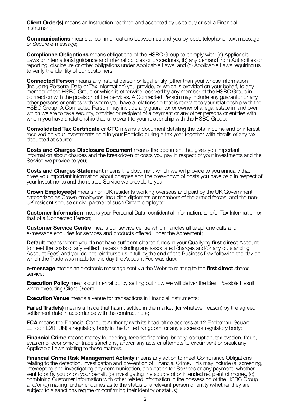**Client Order(s)** means an Instruction received and accepted by us to buy or sell a Financial Instrument;

**Communications** means all communications between us and you by post, telephone, text message or Secure e-message;

**Compliance Obligations** means obligations of the HSBC Group to comply with: (a) Applicable Laws or international guidance and internal policies or procedures, (b) any demand from Authorities or reporting, disclosure or other obligations under Applicable Laws, and (c) Applicable Laws requiring us to verify the identity of our customers;

**Connected Person** means any natural person or legal entity (other than you) whose information (including Personal Data or Tax Information) you provide, or which is provided on your behalf, to any member of the HSBC Group or which is otherwise received by any member of the HSBC Group in connection with the provision of the Services. A Connected Person may include any guarantor or any other persons or entities with whom you have a relationship that is relevant to your relationship with the HSBC Group. A Connected Person may include any guarantor or owner of a legal estate in land over which we are to take security, provider or recipient of a payment or any other persons or entities with whom you have a relationship that is relevant to your relationship with the HSBC Group;

**Consolidated Tax Certificate** or **CTC** means a document detailing the total income and or interest received on your investments held in your Portfolio during a tax year together with details of any tax deducted at source;

**Costs and Charges Disclosure Document** means the document that gives you important information about charges and the breakdown of costs you pay in respect of your Investments and the Service we provide to you;

**Costs and Charges Statement** means the document which we will provide to you annually that gives you important information about charges and the breakdown of costs you have paid in respect of your Investments and the related Service we provide to you;

**Crown Employee(s)** means non-UK residents working overseas and paid by the UK Government categorized as Crown employees, including diplomats or members of the armed forces, and the non-UK resident spouse or civil partner of such Crown employee;

**Customer Information** means your Personal Data, confidential information, and/or Tax Information or that of a Connected Person;

**Customer Service Centre** means our service centre which handles all telephone calls and e-message enquiries for services and products offered under the Agreement;

**Default** means where you do not have sufficient cleared funds in your Qualifying **first direct** Account to meet the costs of any settled Trades (including any associated charges and/or any outstanding Account Fees) and you do not reimburse us in full by the end of the Business Day following the day on which the Trade was made (or the day the Account Fee was due);

**e-message** means an electronic message sent via the Website relating to the **first direct** shares service;

**Execution Policy** means our internal policy setting out how we will deliver the Best Possible Result when executing Client Orders:

**Execution Venue** means a venue for transactions in Financial Instruments:

**Failed Trade(s)** means a Trade that hasn't settled in the market (for whatever reason) by the agreed settlement date in accordance with the contract note;

**FCA** means the Financial Conduct Authority (with its head office address at 12 Endeavour Square, London E20 1JN) a regulatory body in the United Kingdom, or any successor regulatory body;

**Financial Crime** means money laundering, terrorist financing, bribery, corruption, tax evasion, fraud, evasion of economic or trade sanctions, and/or any acts or attempts to circumvent or break any Applicable Laws relating to these matters.

**Financial Crime Risk Management Activity** means any action to meet Compliance Obligations relating to the detection, investigation and prevention of Financial Crime. This may include (a) screening, intercepting and investigating any communication, application for Services or any payment, whether sent to or by you or on your behalf, (b) investigating the source of or intended recipient of money, (c) combining Customer Information with other related information in the possession of the HSBC Group and/or (d) making further enquiries as to the status of a relevant person or entity (whether they are subject to a sanctions regime or confirming their identity or status);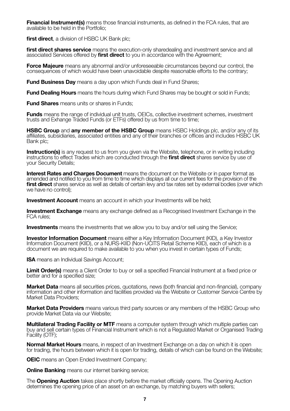**Financial Instrument(s)** means those financial instruments, as defined in the FCA rules, that are available to be held in the Portfolio;

**first direct**, a division of HSBC UK Bank plc;

first direct shares service means the execution-only sharedealing and investment service and all associated Services offered by **first direct** to you in accordance with the Agreement;

**Force Majeure** means any abnormal and/or unforeseeable circumstances beyond our control, the consequences of which would have been unavoidable despite reasonable efforts to the contrary;

**Fund Business Day** means a day upon which Funds deal in Fund Shares;

**Fund Dealing Hours** means the hours during which Fund Shares may be bought or sold in Funds;

**Fund Shares** means units or shares in Funds;

**Funds** means the range of individual unit trusts, OEICs, collective investment schemes, investment trusts and Exhange Traded Funds (or ETFs) offered by us from time to time;

**HSBC Group** and **any member of the HSBC Group** means HSBC Holdings plc, and/or any of its affiliates, subsidiaries, associated entities and any of their branches or offices and includes HSBC UK Bank plc;

**Instruction(s)** is any request to us from you given via the Website, telephone, or in writing including instructions to effect Trades which are conducted through the **first direct** shares service by use of your Security Details;

**Interest Rates and Charges Document** means the document on the Website or in paper format as amended and notified to you from time to time which displays all our current fees for the provision of the **first direct** shares service as well as details of certain levy and tax rates set by external bodies (over which we have no control);

**Investment Account** means an account in which your Investments will be held:

**Investment Exchange** means any exchange defined as a Recognised Investment Exchange in the FCA rules;

**Investments** means the investments that we allow you to buy and/or sell using the Service;

**Investor Information Document** means either a Key Information Document (KID), a Key Investor<br>Information Document (KIID), or a NURS-KIID (Non-UCITS Retail Scheme KIID), each of which is a document we are required to make available to you when you invest in certain types of Funds;

**ISA** means an Individual Savings Account;

**Limit Order(s)** means a Client Order to buy or sell a specified Financial Instrument at a fixed price or better and for a specified size;

**Market Data** means all securities prices, quotations, news (both financial and non-financial), company information and other information and facilities provided via the Website or Customer Service Centre by Market Data Providers;

**Market Data Providers** means various third party sources or any members of the HSBC Group who provide Market Data via our Website;

**Multilateral Trading Facility or MTF** means a computer system through which multiple parties can buy and sell certain types of Financial Instrument which is not a Regulated Market or Organised Trading Facility (OTF);

**Normal Market Hours** means, in respect of an Investment Exchange on a day on which it is open for trading, the hours between which it is open for trading, details of which can be found on the Website;

**OEIC** means an Open Ended Investment Company;

**Online Banking** means our internet banking service:

The **Opening Auction** takes place shortly before the market officially opens. The Opening Auction determines the opening price of an asset on an exchange, by matching buyers with sellers;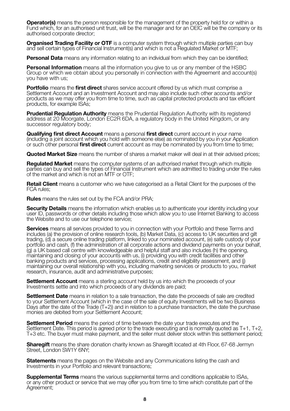**Operator(s)** means the person responsible for the management of the property held for or within a Fund which, for an authorised unit trust, will be the manager and for an OEIC will be the company or its authorised corporate director;

**Organised Trading Facility or OTF** is a computer system through which multiple parties can buy and sell certain types of Financial Instrument(s) and which is not a Regulated Market or MTF;

**Personal Data** means any information relating to an individual from which they can be identified;

**Personal Information** means all the information you give to us or any member of the HSBC Group or which we obtain about you personally in connection with the Agreement and account(s) you have with us;

**Portfolio** means the **first direct** shares service account offered by us which must comprise a Settlement Account and an Investment Account and may also include such other accounts and/or products as we may offer you from time to time, such as capital protected products and tax efficient products, for example ISAs;

**Prudential Regulation Authority** means the Prudential Regulation Authority with its registered address at 20 Moorgate, London EC2R 6DA, a regulatory body in the United Kingdom, or any successor regulatory body:

**Qualifying first direct Account** means a personal **first direct** current account in your name (including a joint account which you hold with someone else) as nominated by you in your Application or such other personal **first direct** current account as may be nominated by you from time to time;

**Quoted Market Size** means the number of shares a market maker will deal in at their advised prices;

**Regulated Market** means the computer systems of an authorised market through which multiple parties can buy and sell the types of Financial Instrument which are admitted to trading under the rules of the market and which is not an MTF or OTF;

**Retail Client** means a customer who we have categorised as a Retail Client for the purposes of the FCA rules;

**Rules** means the rules set out by the FCA and/or PRA;

**Security Details** means the information which enables us to authenticate your identity including your user ID, passwords or other details including those which allow you to use Internet Banking to access the Website and to use our telephone service;

**Services** means all services provided to you in connection with your Portfolio and these Terms and includes (a) the provision of online research tools, (b) Market Data, (c) access to UK securities and gilt trading, (d) a secure online trading platform, linked to your nominated account, (e) safe custody of your portfolio and cash, (f) the administration of all corporate actions and dividend payments on your behalf, (g) a UK based call centre with knowledgeable and helpful staff and also includes (h) the opening, maintaining and closing of your accounts with us, (i) providing you with credit facilities and other banking products and services, processing applications, credit and eligibility assessment, and (j) maintaining our overall relationship with you, including marketing services or products to you, market research, insurance, audit and administrative purposes;

**Settlement Account** means a sterling account held by us into which the proceeds of your Investments settle and into which proceeds of any dividends are paid;

**Settlement Date** means in relation to a sale transaction, the date the proceeds of sale are credited to your Settlement Account (which in the case of the sale of equity Investments will be two Business Days after the date of the Trade  $(T+2)$ ) and in relation to a purchase transaction, the date the purchase monies are debited from your Settlement Account;

**Settlement Period** means the period of time between the date your trade executes and the Settlement Date. This period is agreed prior to the trade executing and is normally quoted as T+1, T+2, T+3 etc. The buyer must make payment, and the seller must deliver stock within this settlement period;

**Sharegift** means the share donation charity known as Sharegift located at 4th Floor, 67-68 Jermyn Street, London SW1Y 6NY;

**Statements** means the pages on the Website and any Communications listing the cash and Investments in your Portfolio and relevant transactions;

**Supplemental Terms** means the various supplemental terms and conditions applicable to ISAs, or any other product or service that we may offer you from time to time which constitute part of the Agreement: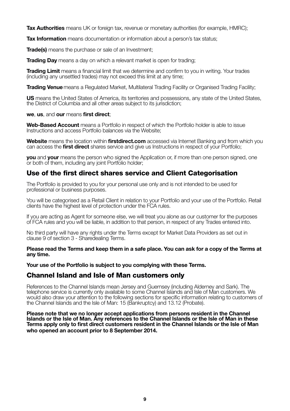**Tax Authorities** means UK or foreign tax, revenue or monetary authorities (for example, HMRC);

**Tax Information** means documentation or information about a person's tax status;

**Trade(s)** means the purchase or sale of an Investment:

**Trading Day** means a day on which a relevant market is open for trading:

**Trading Limit** means a financial limit that we determine and confirm to you in writing. Your trades (including any unsettled trades) may not exceed this limit at any time;

**Trading Venue**means a Regulated Market, Multilateral Trading Facility or Organised Trading Facility;

**US** means the United States of America, its territories and possessions, any state of the United States, the District of Columbia and all other areas subject to its jurisdiction;

#### **we**, **us**, and **our** means **first direct**;

**Web-Based Account** means a Portfolio in respect of which the Portfolio holder is able to issue Instructions and access Portfolio balances via the Website;

**Website** means the location within **firstdirect.com** accessed via Internet Banking and from which you can access the **first direct** shares service and give us Instructions in respect of your Portfolio;

**you** and **your** means the person who signed the Application or, if more than one person signed, one or both of them, including any joint Portfolio holder;

## **Use of the first direct shares service and Client Categorisation**

The Portfolio is provided to you for your personal use only and is not intended to be used for professional or business purposes.

You will be categorised as a Retail Client in relation to your Portfolio and your use of the Portfolio. Retail clients have the highest level of protection under the FCA rules.

If you are acting as Agent for someone else, we will treat you alone as our customer for the purposes of FCA rules and you will be liable, in addition to that person, in respect of any Trades entered into.

No third party will have any rights under the Terms except for Market Data Providers as set out in clause 9 of section 3 - Sharedealing Terms.

**Please read the Terms and keep them in a safe place. You can ask for a copy of the Terms at any time.**

**Your use of the Portfolio is subject to you complying with these Terms.**

## **Channel Island and Isle of Man customers only**

References to the Channel Islands mean Jersey and Guernsey (including Alderney and Sark). The telephone service is currently only available to some Channel Islands and Isle of Man customers. We would also draw your attention to the following sections for specific information relating to customers of the Channel Islands and the Isle of Man: 15 (Bankruptcy) and 13.12 (Probate).

**Please note that we no longer accept applications from persons resident in the Channel Islands or the Isle of Man. Any references to the Channel Islands or the Isle of Man in these Terms apply only to first direct customers resident in the Channel Islands or the Isle of Man who opened an account prior to 8 September 2014.**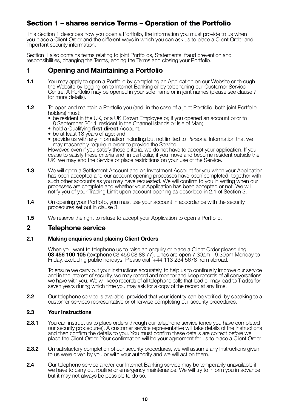## **Section 1 – shares service Terms – Operation of the Portfolio**

This Section 1 describes how you open a Portfolio, the information you must provide to us when you place a Client Order and the different ways in which you can ask us to place a Client Order and important security information.

Section 1 also contains terms relating to joint Portfolios, Statements, fraud prevention and responsibilities, changing the Terms, ending the Terms and closing your Portfolio.

## **1 Opening and Maintaining a Portfolio**

- **1.1** You may apply to open a Portfolio by completing an Application on our Website or through the Website by logging on to Internet Banking or by telephoning our Customer Service Centre. A Portfolio may be opened in your sole name or in joint names (please see clause 7 for more details).
- **1.2** To open and maintain a Portfolio you (and, in the case of a joint Portfolio, both joint Portfolio holders) must:
	- be resident in the UK, or a UK Crown Employee or, if you opened an account prior to 8 September 2014, resident in the Channel Islands or Isle of Man;
	- hold a Qualifying **first direct** Account;
	- be at least 18 years of age; and
	- provide us with any information including but not limited to Personal Information that we

may reasonably require in order to provide the Service However, even if you satisfy these criteria, we do not have to accept your application. If you cease to satisfy these criteria and, in particular, if you move and become resident outside the UK, we may end the Service or place restrictions on your use of the Service.

- **1.3** We will open a Settlement Account and an Investment Account for you when your Application has been accepted and our account opening processes have been completed, together with such other accounts as you may have requested. We will confirm to you in writing when our processes are complete and whether your Application has been accepted or not. We will notify you of your Trading Limit upon account opening as described in 2.1 of Section 3.
- **1.4** On opening your Portfolio, you must use your account in accordance with the security procedures set out in clause 3.
- **1.5** We reserve the right to refuse to accept your Application to open a Portfolio.

## **2 Telephone service**

#### **2.1 Making enquiries and placing Client Orders**

When you want to telephone us to raise an enquiry or place a Client Order please ring **03 456 100 105** (textphone 03 456 08 88 77). Lines are open 7.30am - 9.30pm Monday to<br>Friday, excluding public holidays. Please dial +44 113 234 5678 from abroad.

 To ensure we carry out your Instructions accurately, to help us to continually improve our service and in the interest of security, we may record and monitor and keep records of all conversations we have with you. We will keep records of all telephone calls that lead or may lead to Trades for seven years during which time you may ask for a copy of the record at any time.

**2.2** Our telephone service is available, provided that your identity can be verified, by speaking to a customer services representative or otherwise completing our security procedures.

#### **2.3 Your Instructions**

- 2.3.1 You can instruct us to place orders through our telephone service (once you have completed our security procedures). A customer service representative will take details of the Instructions and then confirm the details to you. You must confirm these details are correct before we place the Client Order. Your confirmation will be your agreement for us to place a Client Order.
- **2.3.2** On satisfactory completion of our security procedures, we will assume any Instructions given to us were given by you or with your authority and we will act on them.
- **2.4** Our telephone service and/or our Internet Banking service may be temporarily unavailable if we have to carry out routine or emergency maintenance. We will try to inform you in advance but it may not always be possible to do so.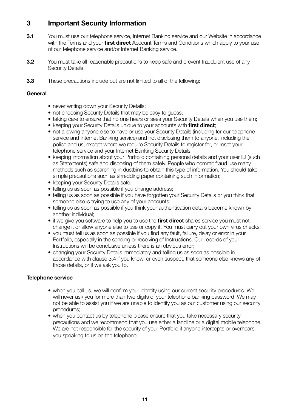## **3 Important Security Information**

- **3.1** You must use our telephone service, Internet Banking service and our Website in accordance with the Terms and your **first direct** Account Terms and Conditions which apply to your use of our telephone service and/or Internet Banking service.
- **3.2** You must take all reasonable precautions to keep safe and prevent fraudulent use of any Security Details.
- **3.3** These precautions include but are not limited to all of the following:

#### **General**

- never writing down your Security Details;
- not choosing Security Details that may be easy to quess:
- taking care to ensure that no one hears or sees your Security Details when you use them;
- keeping your Security Details unique to your accounts with **first direct**;
- not allowing anyone else to have or use your Security Details (including for our telephone service and Internet Banking service) and not disclosing them to anyone, including the police and us, except where we require Security Details to register for, or reset your telephone service and your Internet Banking Security Details;
- keeping information about your Portfolio containing personal details and your user ID (such as Statements) safe and disposing of them safely. People who commit fraud use many methods such as searching in dustbins to obtain this type of information. You should take simple precautions such as shredding paper containing such information;
- keeping your Security Details safe;
- telling us as soon as possible if you change address;
- telling us as soon as possible if you have forgotten your Security Details or you think that someone else is trying to use any of your accounts;
- telling us as soon as possible if you think your authentication details become known by another individual;
- if we give you software to help you to use the **first direct** shares service you must not change it or allow anyone else to use or copy it. You must carry out your own virus checks;
- you must tell us as soon as possible if you find any fault, failure, delay or error in your Portfolio, especially in the sending or receiving of Instructions. Our records of your Instructions will be conclusive unless there is an obvious error;
- changing your Security Details immediately and telling us as soon as possible in accordance with clause 3.4 if you know, or even suspect, that someone else knows any of those details, or if we ask you to.

#### **Telephone service**

- when you call us, we will confirm your identity using our current security procedures. We will never ask you for more than two digits of your telephone banking password. We may not be able to assist you if we are unable to identify you as our customer using our security procedures;
- when you contact us by telephone please ensure that you take necessary security precautions and we recommend that you use either a landline or a digital mobile telephone. We are not responsible for the security of your Portfolio if anyone intercepts or overhears you speaking to us on the telephone.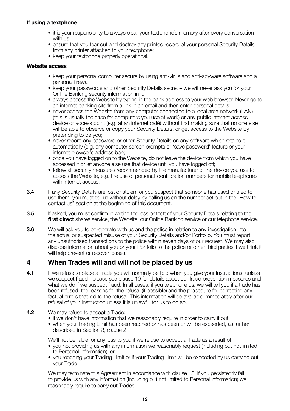#### **If using a textphone**

- it is your responsibility to always clear your textphone's memory after every conversation with us:
- ensure that you tear out and destroy any printed record of your personal Security Details from any printer attached to your textphone:
- keep your textphone properly operational.

#### **Website access**

- keep your personal computer secure by using anti-virus and anti-spyware software and a personal firewall;
- keep your passwords and other Security Details secret we will never ask you for your Online Banking security information in full;
- always access the Website by typing in the bank address to your web browser. Never go to an internet banking site from a link in an email and then enter personal details;
- never access the Website from any computer connected to a local area network (LAN) (this is usually the case for computers you use at work) or any public internet access device or access point (e.g. at an internet café) without first making sure that no one else will be able to observe or copy your Security Details, or get access to the Website by pretending to be you;
- never record any password or other Security Details on any software which retains it automatically (e.g. any computer screen prompts or 'save password' feature or your internet browser's address bar);
- once you have logged on to the Website, do not leave the device from which you have accessed it or let anyone else use that device until you have logged off;
- follow all security measures recommended by the manufacturer of the device you use to access the Website, e.g. the use of personal identification numbers for mobile telephones with internet access.
- **3.4** If any Security Details are lost or stolen, or you suspect that someone has used or tried to use them, you must tell us without delay by calling us on the number set out in the "How to contact us" section at the beginning of this document.
- **3.5** If asked, you must confirm in writing the loss or theft of your Security Details relating to the **first direct** shares service, the Website, our Online Banking service or our telephone service.
- **3.6** We will ask you to co-operate with us and the police in relation to any investigation into the actual or suspected misuse of your Security Details and/or Portfolio. You must report any unauthorised transactions to the police within seven days of our request. We may also disclose information about you or your Portfolio to the police or other third parties if we think it will help prevent or recover losses.

## **4 When Trades will and will not be placed by us**

- **4.1** If we refuse to place a Trade you will normally be told when you give your Instructions, unless we suspect fraud - please see clause 10 for details about our fraud prevention measures and what we do if we suspect fraud. In all cases, if you telephone us, we will tell you if a trade has been refused, the reasons for the refusal (if possible) and the procedure for correcting any factual errors that led to the refusal. This information will be available immediately after our refusal of your Instruction unless it is unlawful for us to do so.
- **4.2** We may refuse to accept a Trade:
	- if we don't have information that we reasonably require in order to carry it out;
	- when your Trading Limit has been reached or has been or will be exceeded, as further described in Section 3, clause 2.

We'll not be liable for any loss to you if we refuse to accept a Trade as a result of:

- you not providing us with any information we reasonably request (including but not limited to Personal Information); or
- you reaching your Trading Limit or if your Trading Limit will be exceeded by us carrying out your Trade.

We may terminate this Agreement in accordance with clause 13, if you persistently fail to provide us with any information (including but not limited to Personal Information) we reasonably require to carry out Trades.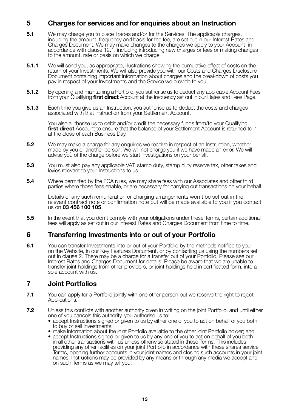## **5 Charges for services and for enquiries about an Instruction**

- **5.1** We may charge you to place Trades and/or for the Services. The applicable charges, including the amount, frequency and basis for the fee, are set out in our Interest Rates and Charges Document. We may make changes to the charges we apply to your Account in accordance with clause 12.1, including introducing new charges or fees or making changes to the amount, rate or basis on which we charge.
- **5.1.1** We will send you, as appropriate, illustrations showing the cumulative effect of costs on the<br>return of your Investments. We will also provide you with our Costs and Charges Disclosure Document containing important information about charges and the breakdown of costs you pay in respect of your Investments and the Service we provide to you.
- **5.1.2** By opening and maintaining a Portfolio, you authorise us to deduct any applicable Account Fees from your Qualifying **first direct** Account at the frequency set out in our Rates and Fees Page.
- **5.1.3** Each time you give us an Instruction, you authorise us to deduct the costs and charges associated with that Instruction from your Settlement Account.

 You also authorise us to debit and/or credit the necessary funds from/to your Qualifying **first direct** Account to ensure that the balance of your Settlement Account is returned to nil at the close of each Business Day.

- **5.2** We may make a charge for any enquiries we receive in respect of an Instruction, whether made by you or another person. We will not charge you if we have made an error. We will advise you of the charge before we start investigations on your behalf.
- **5.3** You must also pay any applicable VAT, stamp duty, stamp duty reserve tax, other taxes and levies relevant to your Instructions to us.
- **5.4** Where permitted by the FCA rules, we may share fees with our Associates and other third parties where those fees enable, or are necessary for carrying out transactions on your behalf.

 Details of any such remuneration or charging arrangements won't be set out in the relevant contract note or confirmation note but will be made available to you if you contact us on **03 456 100 105**.

**5.5** In the event that you don't comply with your obligations under these Terms, certain additional fees will apply as set out in our Interest Rates and Charges Document from time to time.

## **6 Transferring Investments into or out of your Portfolio**

**6.1** You can transfer Investments into or out of your Portfolio by the methods notified to you on the Website, in our Key Features Document, or by contacting us using the numbers set out in clause 2. There may be a charge for a transfer out of your Portfolio. Please see our Interest Rates and Charges Document for details. Please be aware that we are unable to transfer joint holdings from other providers, or joint holdings held in certificated form, into a sole account with us.

## **7 Joint Portfolios**

- **7.1** You can apply for a Portfolio jointly with one other person but we reserve the right to reject Applications.
- **7.2** Unless this conflicts with another authority given in writing on the joint Portfolio, and until either one of you cancels this authority, you authorise us to:
	- accept Instructions signed or given to us by either one of you to act on behalf of you both to buy or sell Investments;
	- make information about the joint Portfolio available to the other joint Portfolio holder; and • accept Instructions signed or given to us by any one of you to act on behalf of you both in all other transactions with us unless otherwise stated in these Terms. This includes providing any other facilities on your joint Portfolio in accordance with these shares service
	- Terms, opening further accounts in your joint names and closing such accounts in your joint names. Instructions may be provided by any means or through any media we accept and on such Terms as we may tell you.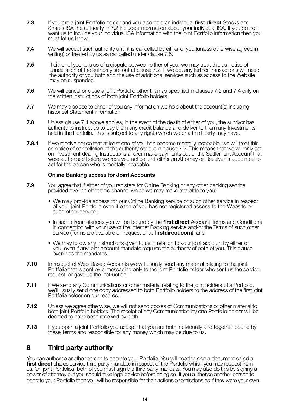- **7.3** If you are a joint Portfolio holder and you also hold an individual **first direct** Stocks and Shares ISA the authority in 7.2 includes information about your individual ISA. If you do not want us to include your individual ISA information with the joint Portfolio information then you must let us know.
- **7.4** We will accept such authority until it is cancelled by either of you (unless otherwise agreed in writing) or treated by us as cancelled under clause 7.5.
- **7.5** If either of you tells us of a dispute between either of you, we may treat this as notice of cancellation of the authority set out at clause 7.2. If we do, any further transactions will need the authority of you both and the use of additional services such as access to the Website may be suspended.
- **7.6** We will cancel or close a joint Portfolio other than as specified in clauses 7.2 and 7.4 only on the written Instructions of both joint Portfolio holders.
- **7.7** We may disclose to either of you any information we hold about the account(s) including historical Statement information.
- **7.8** Unless clause 7.4 above applies, in the event of the death of either of you, the survivor has authority to instruct us to pay them any credit balance and deliver to them any Investments held in the Portfolio. This is subject to any rights which we or a third party may have.
- **7.8.1** If we receive notice that at least one of you has become mentally incapable, we will treat this as notice of cancellation of the authority set out in clause 7.2. This means that we will only act on Investment dealing Instructions and/or make payments out of the Settlement Account that were authorised before we received notice until either an Attorney or Receiver is appointed to act for the person who is mentally incapable.

#### **Online Banking access for Joint Accounts**

- **7.9** You agree that if either of you registers for Online Banking or any other banking service provided over an electronic channel which we may make available to you:
	- **•** We may provide access for our Online Banking service or such other service in respect of your joint Portfolio even if each of you has not registered access to the Website or such other service;
	- In such circumstances you will be bound by the **first direct** Account Terms and Conditions in connection with your use of the Internet Banking service and/or the Terms of such other service (Terms are available on request or at **firstdirect.com**); and
	- We may follow any Instructions given to us in relation to your joint account by either of you, even if any joint account mandate requires the authority of both of you. This clause overrides the mandates.
- **7.10** In respect of Web-Based Accounts we will usually send any material relating to the joint Portfolio that is sent by e-messaging only to the joint Portfolio holder who sent us the service request, or gave us the Instruction.
- **7.11** If we send any Communications or other material relating to the joint holders of a Portfolio. we'll usually send one copy addressed to both Portfolio holders to the address of the first joint Portfolio holder on our records.
- **7.12** Unless we agree otherwise, we will not send copies of Communications or other material to both joint Portfolio holders. The receipt of any Communication by one Portfolio holder will be deemed to have been received by both.
- **7.13** If you open a joint Portfolio you accept that you are both individually and together bound by these Terms and responsible for any money which may be due to us.

## **8 Third party authority**

You can authorise another person to operate your Portfolio. You will need to sign a document called a **first direct** shares service third party mandate in respect of the Portfolio which you may request from us. On joint Portfolios, both of you must sign the third party mandate. You may also do this by signing a power of attorney but you should take legal advice before doing so. If you authorise another person to operate your Portfolio then you will be responsible for their actions or omissions as if they were your own.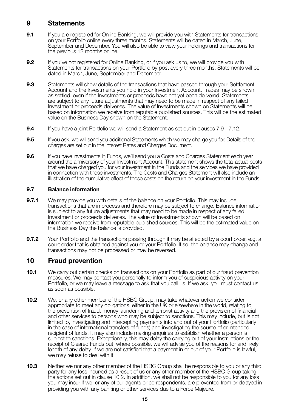## **9 Statements**

- **9.1** If you are registered for Online Banking, we will provide you with Statements for transactions on your Portfolio online every three months. Statements will be dated in March, June, September and December. You will also be able to view your holdings and transactions for the previous 12 months online.
- **9.2** If you've not registered for Online Banking, or if you ask us to, we will provide you with Statements for transactions on your Portfolio by post every three months. Statements will be dated in March, June, September and December.
- **9.3** Statements will show details of the transactions that have passed through your Settlement Account and the Investments you hold in your Investment Account. Trades may be shown as settled, even if the Investments or proceeds have not yet been delivered. Statements are subject to any future adjustments that may need to be made in respect of any failed Investment or proceeds deliveries. The value of Investments shown on Statements will be based on information we receive from reputable published sources. This will be the estimated value on the Business Day shown on the Statement.
- **9.4** If you have a joint Portfolio we will send a Statement as set out in clauses 7.9 7.12.
- **9.5** If you ask, we will send you additional Statements which we may charge you for. Details of the charges are set out in the Interest Rates and Charges Document.
- **9.6** If you have investments in Funds, we'll send you a Costs and Charges Statement each year around the anniversary of your Investment Account. This statement shows the total actual costs that we have charged you for your investment in the Funds and the services we have provided in connection with those investments. The Costs and Charges Statement will also include an illustration of the cumulative effect of those costs on the return on your investment in the Funds.

#### **9.7 Balance information**

- **9.7.1** We may provide you with details of the balance on your Portfolio. This may include transactions that are in process and therefore may be subject to change. Balance information is subject to any future adjustments that may need to be made in respect of any failed Investment or proceeds deliveries. The value of Investments shown will be based on information we receive from reputable published sources. This will be the estimated value on the Business Day the balance is provided.
- **9.7.2** Your Portfolio and the transactions passing through it may be affected by a court order, e.g. a court order that is obtained against you or your Portfolio. If so, the balance may change and transactions may not be processed or may be reversed.

## **10 Fraud prevention**

- **10.1** We carry out certain checks on transactions on your Portfolio as part of our fraud prevention measures. We may contact you personally to inform you of suspicious activity on your Portfolio, or we may leave a message to ask that you call us. If we ask, you must contact us as soon as possible.
- **10.2** We, or any other member of the HSBC Group, may take whatever action we consider appropriate to meet any obligations, either in the UK or elsewhere in the world, relating to the prevention of fraud, money laundering and terrorist activity and the provision of financial and other services to persons who may be subject to sanctions. This may include, but is not limited to, investigating and intercepting payments into and out of your Portfolio (particularly in the case of international transfers of funds) and investigating the source of or intended recipient of funds. It may also include making enquiries to establish whether a person is subject to sanctions. Exceptionally, this may delay the carrying out of your Instructions or the receipt of Cleared Funds but, where possible, we will advise you of the reasons for and likely length of any delay. If we are not satisfied that a payment in or out of your Portfolio is lawful, we may refuse to deal with it.
- **10.3** Neither we nor any other member of the HSBC Group shall be responsible to you or any third party for any loss incurred as a result of us or any other member of the HSBC Group taking the actions set out in clause 10.2. In addition, we shall not be responsible to you for any loss you may incur if we, or any of our agents or correspondents, are prevented from or delayed in providing you with any banking or other services due to a Force Majeure.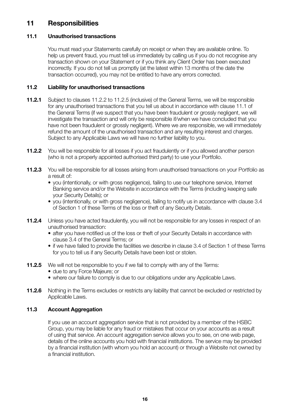## **11 Responsibilities**

## **11.1 Unauthorised transactions**

 You must read your Statements carefully on receipt or when they are available online. To help us prevent fraud, you must tell us immediately by calling us if you do not recognise any transaction shown on your Statement or if you think any Client Order has been executed incorrectly. If you do not tell us promptly (at the latest within 13 months of the date the transaction occurred), you may not be entitled to have any errors corrected.

## **11.2 Liability for unauthorised transactions**

- **11.2.1** Subject to clauses 11.2.2 to 11.2.5 (inclusive) of the General Terms, we will be responsible for any unauthorised transactions that you tell us about in accordance with clause 11.1 of the General Terms (if we suspect that you have been fraudulent or grossly negligent, we will investigate the transaction and will only be responsible if/when we have concluded that you have not been fraudulent or grossly negligent). Where we are responsible, we will immediately refund the amount of the unauthorised transaction and any resulting interest and charges. Subject to any Applicable Laws we will have no further liability to you.
- **11.2.2** You will be responsible for all losses if you act fraudulently or if you allowed another person (who is not a properly appointed authorised third party) to use your Portfolio.
- **11.2.3** You will be responsible for all losses arising from unauthorised transactions on your Portfolio as a result of:
	- you (intentionally, or with gross negligence), failing to use our telephone service, Internet Banking service and/or the Website in accordance with the Terms (including keeping safe your Security Details); or
	- you (intentionally, or with gross negligence), failing to notify us in accordance with clause 3.4 of Section 1 of these Terms of the loss or theft of any Security Details.
- **11.2.4** Unless you have acted fraudulently, you will not be responsible for any losses in respect of an unauthorised transaction:
	- after you have notified us of the loss or theft of your Security Details in accordance with clause 3.4 of the General Terms; or
	- if we have failed to provide the facilities we describe in clause 3.4 of Section 1 of these Terms for you to tell us if any Security Details have been lost or stolen.
- **11.2.5** We will not be responsible to you if we fail to comply with any of the Terms:
	- due to any Force Majeure; or
	- where our failure to comply is due to our obligations under any Applicable Laws.
- **11.2.6** Nothing in the Terms excludes or restricts any liability that cannot be excluded or restricted by Applicable Laws.

#### **11.3 Account Aggregation**

 If you use an account aggregation service that is not provided by a member of the HSBC Group, you may be liable for any fraud or mistakes that occur on your accounts as a result of using that service. An account aggregation service allows you to see, on one web page, details of the online accounts you hold with financial institutions. The service may be provided by a financial institution (with whom you hold an account) or through a Website not owned by a financial institution.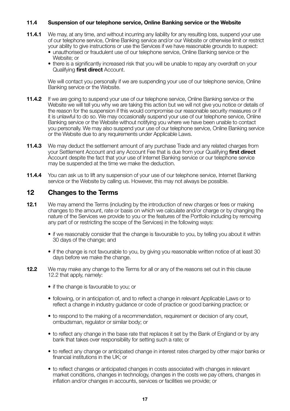#### **11.4 Suspension of our telephone service, Online Banking service or the Website**

- **11.4.1** We may, at any time, and without incurring any liability for any resulting loss, suspend your use of our telephone service, Online Banking service and/or our Website or otherwise limit or restrict your ability to give instructions or use the Services if we have reasonable grounds to suspect:
	- unauthorised or fraudulent use of our telephone service, Online Banking service or the Website; or
	- there is a significantly increased risk that you will be unable to repay any overdraft on your Qualifying **first direct** Account.

 We will contact you personally if we are suspending your use of our telephone service, Online Banking service or the Website.

- **11.4.2** If we are going to suspend your use of our telephone service. Online Banking service or the Website we will tell you why we are taking this action but we will not give you notice or details of the reason for the suspension if this would compromise our reasonable security measures or if it is unlawful to do so. We may occasionally suspend your use of our telephone service, Online Banking service or the Website without notifying you where we have been unable to contact you personally. We may also suspend your use of our telephone service, Online Banking service or the Website due to any requirements under Applicable Laws.
- **11.4.3** We may deduct the settlement amount of any purchase Trade and any related charges from your Settlement Account and any Account Fee that is due from your Qualifying **first direct** Account despite the fact that your use of Internet Banking service or our telephone service may be suspended at the time we make the deduction.
- **11.4.4** You can ask us to lift any suspension of your use of our telephone service, Internet Banking service or the Website by calling us. However, this may not always be possible.

## **12 Changes to the Terms**

- **12.1** We may amend the Terms (including by the introduction of new charges or fees or making changes to the amount, rate or basis on which we calculate and/or charge or by changing the nature of the Services we provide to you or the features of the Portfolio including by removing any part of or restricting the scope of the Services) in the following ways:
	- if we reasonably consider that the change is favourable to you, by telling you about it within 30 days of the change; and
	- if the change is not favourable to you, by giving you reasonable written notice of at least 30 days before we make the change.
- **12.2** We may make any change to the Terms for all or any of the reasons set out in this clause 12.2 that apply, namely:
	- if the change is favourable to you; or
	- following, or in anticipation of, and to reflect a change in relevant Applicable Laws or to reflect a change in industry guidance or code of practice or good banking practice; or
	- to respond to the making of a recommendation, requirement or decision of any court, ombudsman, regulator or similar body; or
	- to reflect any change in the base rate that replaces it set by the Bank of England or by any bank that takes over responsibility for setting such a rate; or
	- to reflect any change or anticipated change in interest rates charged by other major banks or financial institutions in the UK; or
	- to reflect changes or anticipated changes in costs associated with changes in relevant market conditions, changes in technology, changes in the costs we pay others, changes in inflation and/or changes in accounts, services or facilities we provide; or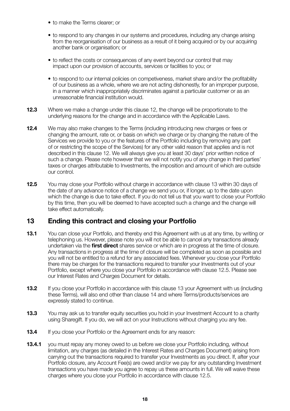- to make the Terms clearer; or
- to respond to any changes in our systems and procedures, including any change arising from the reorganisation of our business as a result of it being acquired or by our acquiring another bank or organisation; or
- to reflect the costs or consequences of any event beyond our control that may impact upon our provision of accounts, services or facilities to you; or
- to respond to our internal policies on competiveness, market share and/or the profitability of our business as a whole, where we are not acting dishonestly, for an improper purpose, in a manner which inappropriately discriminates against a particular customer or as an unreasonable financial institution would.
- **12.3** Where we make a change under this clause 12, the change will be proportionate to the underlying reasons for the change and in accordance with the Applicable Laws.
- **12.4** We may also make changes to the Terms (including introducing new charges or fees or changing the amount, rate or, or basis on which we charge or by changing the nature of the Services we provide to you or the features of the Portfolio including by removing any part of or restricting the scope of the Services) for any other valid reason that applies and is not described in this clause 12. We will always give you at least 30 days' prior written notice of such a change. Please note however that we will not notify you of any change in third parties' taxes or charges attributable to Investments, the imposition and amount of which are outside our control.
- **12.5** You may close your Portfolio without charge in accordance with clause 13 within 30 days of the date of any advance notice of a change we send you or, if longer, up to the date upon which the change is due to take effect. If you do not tell us that you want to close your Portfolio by this time, then you will be deemed to have accepted such a change and the change will take effect automatically.

## **13 Ending this contract and closing your Portfolio**

- **13.1** You can close your Portfolio, and thereby end this Agreement with us at any time, by writing or telephoning us. However, please note you will not be able to cancel any transactions already undertaken via the **first direct** shares service or which are in progress at the time of closure. Any transactions in progress at the time of closure will be completed as soon as possible and you will not be entitled to a refund for any associated fees. Whenever you close your Portfolio there may be charges for the transactions required to transfer your Investments out of your Portfolio, except where you close your Portfolio in accordance with clause 12.5. Please see our Interest Rates and Charges Document for details.
- **13.2** If you close your Portfolio in accordance with this clause 13 your Agreement with us (including these Terms), will also end other than clause 14 and where Terms/products/services are expressly stated to continue.
- **13.3** You may ask us to transfer equity securities you hold in your Investment Account to a charity using Sharegift. If you do, we will act on your Instructions without charging you any fee.
- **13.4** If you close your Portfolio or the Agreement ends for any reason:
- **13.4.1** you must repay any money owed to us before we close your Portfolio including, without limitation, any charges (as detailed in the Interest Rates and Charges Document) arising from carrying out the transactions required to transfer your Investments as you direct. If, after your Portfolio closure, any Account Fee(s) are owed and/or we pay for any outstanding Investment transactions you have made you agree to repay us these amounts in full. We will waive these charges where you close your Portfolio in accordance with clause 12.5.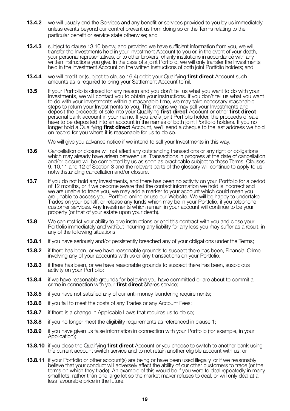- **13.4.2** we will usually end the Services and any benefit or services provided to you by us immediately unless events beyond our control prevent us from doing so or the Terms relating to the particular benefit or service state otherwise; and
- **13.4.3** subject to clause 13.10 below, and provided we have sufficient information from you, we will transfer the Investments held in your Investment Account to you or, in the event of your death, your personal representatives, or to other brokers, charity institutions in accordance with any written Instructions you give. In the case of a joint Portfolio, we will only transfer the Investments held in the Investment Account on the written Instructions of both joint Portfolio holders; and
- **13.4.4** we will credit or (subject to clause 16.4) debit your Qualifying **first direct** Account such amounts as is required to bring your Settlement Account to nil.
- **13.5** If your Portfolio is closed for any reason and you don't tell us what you want to do with your Investments, we will contact you to obtain your instructions. If you don't tell us what you want to do with your Investments within a reasonable time, we may take necessary reasonable steps to return your Investments to you. This means we may sell your Investments and deposit the proceeds of sale into your Qualifying **first direct** Account or other **first direct** personal bank account in your name. If you are a joint Portfolio holder, the proceeds of sale have to be deposited into an account in the names of both joint Portfolio holders. If you no longer hold a Qualifying **first direct** Account, we'll send a cheque to the last address we hold on record for you where it is reasonable for us to do so.

We will give you advance notice if we intend to sell your Investments in this way.

- **13.6** Cancellation or closure will not affect any outstanding transactions or any right or obligations which may already have arisen between us. Transactions in progress at the date of cancellation and/or closure will be completed by us as soon as practicable subject to these Terms. Clauses 9, 10,11 and 12 of Section 3 and the relevant parts of the glossary will continue to apply to us notwithstanding cancellation and/or closure.
- **13.7** If you do not hold any Investments, and there has been no activity on your Portfolio for a period of 12 months, or if we become aware that the contact information we hold is incorrect and we are unable to trace you, we may add a marker to your account which could mean you are unable to access your Portfolio online or use our Website. We will be happy to undertake Trades on your behalf, or release any funds which may be in your Portfolio, if you telephone customer services. Any Investments which remain in your account will continue to be your property (or that of your estate upon your death).
- **13.8** We can restrict your ability to give instructions or end this contract with you and close your Portfolio immediately and without incurring any liability for any loss you may suffer as a result, in any of the following situations:
- **13.8.1** if you have seriously and/or persistently breached any of your obligations under the Terms;
- **13.8.2** if there has been, or we have reasonable grounds to suspect there has been, Financial Crime involving any of your accounts with us or any transactions on your Portfolio;
- **13.8.3** if there has been, or we have reasonable grounds to suspect there has been, suspicious activity on your Portfolio;
- **13.8.4** if we have reasonable grounds for believing you have committed or are about to commit a crime in connection with your **first direct** shares service;
- **13.8.5** if you have not satisfied any of our anti-money laundering requirements;
- **13.8.6** if you fail to meet the costs of any Trades or any Account Fees:
- **13.8.7** if there is a change in Applicable Laws that requires us to do so:
- **13.8.8** if you no longer meet the eligibility requirements as referenced in clause 1;
- **13.8.9** if you have given us false information in connection with your Portfolio (for example, in your Application);
- **13.8.10** if you close the Qualifying **first direct** Account or you choose to switch to another bank using the current account switch service and to not retain another eligible account with us; or
- **13.8.11** if your Portfolio or other account(s) are being or have been used illegally, or if we reasonably believe that your conduct will adversely affect the ability of our other customers to trade (or the terms on which they trade). An example of this would be if you were to deal repeatedly in many small lots, rather than one large lot so the market maker refuses to deal, or will only deal at a less favourable price in the future.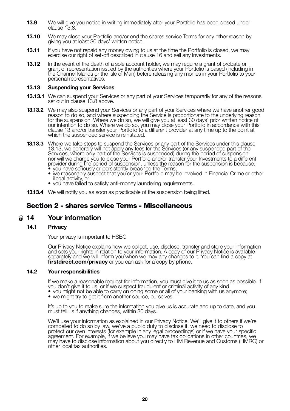- **13.9** We will give you notice in writing immediately after your Portfolio has been closed under clause 13.8.
- **13.10** We may close your Portfolio and/or end the shares service Terms for any other reason by giving you at least 30 days' written notice.
- **13.11** If you have not repaid any money owing to us at the time the Portfolio is closed, we may exercise our right of set-off described in clause 16 and sell any Investments.
- **13.12** In the event of the death of a sole account holder, we may require a grant of probate or grant of representation issued by the authorities where your Portfolio is based (including in the Channel Islands or the Isle of Man) before releasing any monies in your Portfolio to your personal representatives.

#### **13.13 Suspending your Services**

- **13.13.1** We can suspend your Services or any part of your Services temporarily for any of the reasons set out in clause 13.8 above.
- **13.13.2** We may also suspend your Services or any part of your Services where we have another good reason to do so, and where suspending the Service is proportionate to the underlying reason for the suspension. Where we do so, we will give you at least 30 days' prior written notice of our intention to do so. Where we do so, you may close your Portfolio in accordance with this clause 13 and/or transfer your Portfolio to a different provider at any time up to the point at which the suspended service is reinstated.
- **13.13.3** Where we take steps to suspend the Services or any part of the Services under this clause 13.13, we generally will not apply any fees for the Services (or any suspended part of the<br>Services, where only part of the Services is suspended) during the period of suspension<br>nor will we charge you to close your Portfo provider during the period of suspension, unless the reason for the suspension is because:<br>• you have seriously or persistently breached the Terms;
	- we reasonably suspect that you or your Portfolio may be involved in Financial Crime or other illegal activity, or • you have failed to satisfy anti-money laundering requirements.
	-
- **13.13.4** We will notify you as soon as practicable of the suspension being lifted.

## **Section 2 - shares service Terms - Miscellaneous**

#### **14 Your information**

#### **14.1 Privacy**

Your privacy is important to HSBC

 Our Privacy Notice explains how we collect, use, disclose, transfer and store your information and sets your rights in relation to your information. A copy of our Privacy Notice is available separately and we will inform you when we may any changes to it. You can find a copy at **firstdirect.com/privacy** or you can ask for a copy by phone.

#### **14.2 Your responsibilities**

If we make a reasonable request for information, you must give it to us as soon as possible. If you don't give it to us, or if we suspect fraudulent or criminal activity of any kind you don't give it to us, or if we suspect fraudulent or criminal activity of any kind<br>• you might not be able to carry on doing some or all of your banking with us anymore;<br>• we might try to get it from another source, our

- 
- 

 It's up to you to make sure the information you give us is accurate and up to date, and you must tell us if anything changes, within 30 days.

 We'll use your information as explained in our Privacy Notice. We'll give it to others if we're compelled to do so by law, we've a public duty to disclose it, we need to disclose to protect our own interests (for example in any legal proceedings) or if we have your specific agreement. For example, if we believe you may have tax obligations in other countries, we may have to disclose information about you directly to HM Revenue and Customs (HMRC) or other local tax authorities.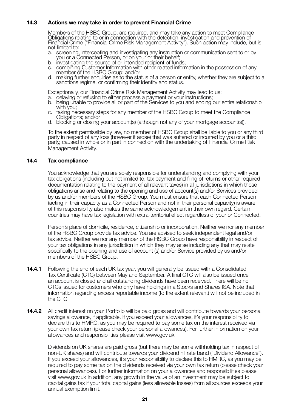#### **14.3 Actions we may take in order to prevent Financial Crime**

 Members of the HSBC Group, are required, and may take any action to meet Compliance Obligations relating to or in connection with the detection, investigation and prevention of Financial Crime ("Financial Crime Risk Management Activity"). Such action may include, but is

- not limited to:<br>a. screening, intercepting and investigating any instruction or communication sent to or by
- 
- you or a Connected Person, or on your or their behalf;<br>b. investigating the source of or intended recipient of funds;<br>c. combining Customer Information with other related information in the possession of any member of the HSBC Group: and/or<br>d. making further enquiries as to the status of a person or entity, whether they are subject to a
	- sanctions regime, or confirming their identity and status.

Exceptionally, our Financial Crime Risk Management Activity may lead to us:

- 
- a. delaying or refusing to either process a payment or your instructions; b. being unable to provide all or part of the Services to you and ending our entire relationship
- c. taking necessary steps for any member of the HSBC Group to meet the Compliance<br>Obligations; and/or
- d. blocking or closing your account(s) (although not any of your mortgage account(s)).

 To the extent permissible by law, no member of HSBC Group shall be liable to you or any third party in respect of any loss (however it arose) that was suffered or incurred by you or a third party, caused in whole or in part in connection with the undertaking of Financial Crime Risk Management Activity.

#### **14.4 Tax compliance**

 You acknowledge that you are solely responsible for understanding and complying with your tax obligations (including but not limited to, tax payment and filing of returns or other required documentation relating to the payment of all relevant taxes) in all jurisdictions in which those obligations arise and relating to the opening and use of account(s) and/or Services provided by us and/or members of the HSBC Group. You must ensure that each Connected Person (acting in their capacity as a Connected Person and not in their personal capacity) is aware of this responsibility also makes the same acknowledgement in their own regard. Certain countries may have tax legislation with extra-territorial effect regardless of your or Connected.

 Person's place of domicile, residence, citizenship or incorporation. Neither we nor any member of the HSBC Group provide tax advice. You are advised to seek independent legal and/or tax advice. Neither we nor any member of the HSBC Group have responsibility in respect of your tax obligations in any jurisdiction in which they may arise including any that may relate specifically to the opening and use of account (s) and/or Service provided by us and/or members of the HSBC Group.

- **14.4.1** Following the end of each UK tax year, you will generally be issued with a Consolidated Tax Certificate (CTC) between May and September. A final CTC will also be issued once an account is closed and all outstanding dividends have been received. There will be no CTCs issued for customers who only have holdings in a Stocks and Shares ISA. Note that information regarding excess reportable income (to the extent relevant) will not be included in the CTC.
- **14.4.2** All credit interest on your Portfolio will be paid gross and will contribute towards your personal savings allowance, if applicable. If you exceed your allowances, it's your responsibility to declare this to HMRC, as you may be required to pay some tax on the interest received via your own tax return (please check your personal allowances). For further information on your allowances and responsibilities please visit www.gov.uk

 Dividends on UK shares are paid gross (but there may be some withholding tax in respect of non-UK shares) and will contribute towards your dividend nil rate band ("Dividend Allowance"). If you exceed your allowances, it's your responsibility to declare this to HMRC, as you may be required to pay some tax on the dividends received via your own tax return (please check your personal allowances). For further information on your allowances and responsibilities please visit www.gov.uk In addition, any growth in the value of an Investment may be subject to capital gains tax if your total capital gains (less allowable losses) from all sources exceeds your annual exemption limit.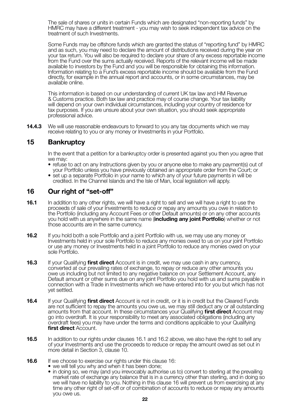The sale of shares or units in certain Funds which are designated "non-reporting funds" by HMRC may have a different treatment - you may wish to seek independent tax advice on the treatment of such Investments.

 Some Funds may be offshore funds which are granted the status of "reporting fund" by HMRC and as such, you may need to declare the amount of distributions received during the year on your tax return. You will also be required to declare your share of any excess reportable income from the Fund over the sums actually received. Reports of the relevant income will be made available to investors by the Fund and you will be responsible for obtaining this information. Information relating to a Fund's excess reportable income should be available from the Fund directly, for example in the annual report and accounts, or in some circumstances, may be available online.

 This information is based on our understanding of current UK tax law and HM Revenue & Customs practice. Both tax law and practice may of course change. Your tax liability will depend on your own individual circumstances, including your country of residence for tax purposes. If you are unsure about your own situation, you should seek appropriate professional advice.

**14.4.3** We will use reasonable endeavours to forward to you any tax documents which we may receive relating to you or any money or Investments in your Portfolio.

## **15 Bankruptcy**

In the event that a petition for a bankruptcy order is presented against you then you agree that we may:

- refuse to act on any Instructions given by you or anyone else to make any payment(s) out of your Portfolio unless you have previously obtained an appropriate order from the Court; or
- set up a separate Portfolio in your name to which any of your future payments in will be credited. In the Channel Islands and the Isle of Man, local legislation will apply.

## **16 Our right of "set-off"**

- **16.1** In addition to any other rights, we will have a right to sell and we will have a right to use the proceeds of sale of your Investments to reduce or repay any amounts you owe in relation to the Portfolio (including any Account Fees or other Default amounts) or on any other accounts you hold with us anywhere in the same name (**including any joint Portfolio**) whether or not those accounts are in the same currency.
- **16.2** If you hold both a sole Portfolio and a joint Portfolio with us, we may use any money or Investments held in your sole Portfolio to reduce any monies owed to us on your joint Portfolio or use any money or Investments held in a joint Portfolio to reduce any monies owed on your sole Portfolio.
- **16.3** If your Qualifying **first direct** Account is in credit, we may use cash in any currency, converted at our prevailing rates of exchange, to repay or reduce any other amounts you owe us including but not limited to any negative balance on your Settlement Account, any Default amount or other sums due on any joint Portfolio you hold with us and sums payable in connection with a Trade in Investments which we have entered into for you but which has not yet settled.
- **16.4** If your Qualifying **first direct** Account is not in credit, or it is in credit but the Cleared Funds are not sufficient to repay the amounts you owe us, we may still deduct any or all outstanding amounts from that account. In these circumstances your Qualifying **first direct** Account may go into overdraft. It is your responsibility to meet any associated obligations (including any overdraft fees) you may have under the terms and conditions applicable to your Qualifying **first direct** Account.
- **16.5** In addition to our rights under clauses 16.1 and 16.2 above, we also have the right to sell any of your Investments and use the proceeds to reduce or repay the amount owed as set out in more detail in Section 3, clause 10.
- **16.6** If we choose to exercise our rights under this clause 16:
	- we will tell you why and when it has been done:
	- in doing so, we may (and you irrevocably authorise us to) convert to sterling at the prevailing market rate of exchange any balance that is in a currency other than sterling, and in doing so we will have no liability to you. Nothing in this clause 16 will prevent us from exercising at any time any other right of set-off or of combination of accounts to reduce or repay any amounts you owe us.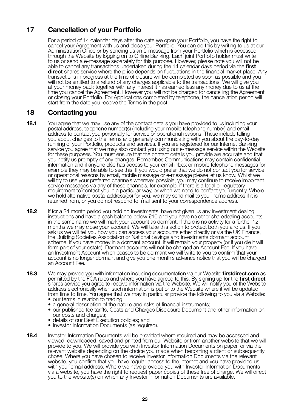## **17 Cancellation of your Portfolio**

 For a period of 14 calendar days after the date we open your Portfolio, you have the right to cancel your Agreement with us and close your Portfolio. You can do this by writing to us at our Administration Office or by sending us an e-message from your Portfolio which is accessed through the Website by logging on to Online Banking. Each joint Portfolio holder must write to us or send a e-message separately for this purpose. However, please note you will not be able to cancel any transactions undertaken during the 14 calendar days period via the **first direct** shares service where the price depends on fluctuations in the financial market place. Any transactions in progress at the time of closure will be completed as soon as possible and you will not be entitled to a refund of any charges applicable to the transactions. We will give you all your money back together with any interest it has earned less any money due to us at the time you cancel the Agreement. However you will not be charged for cancelling the Agreement or closing your Portfolio. For Applications completed by telephone, the cancellation period will start from the date you receive the Terms in the post.

## **18 Contacting you**

- **18.1** You agree that we may use any of the contact details you have provided to us including your postal address, telephone number(s) (including your mobile telephone number) and email address to contact you personally for service or operational reasons. These include telling you about changes to the Terms and generally communicating with you about the day-to-day running of your Portfolio, products and services. If you are registered for our Internet Banking service you agree that we may also contact you using our e-message service within the Website for these purposes. You must ensure that the contact details you provide are accurate and that you notify us promptly of any changes. Remember, Communications may contain confidential information and if anyone else has access to your email inbox or mobile telephone messages for example they may be able to see this. If you would prefer that we do not contact you for service or operational reasons by email, mobile message or e-message please let us know. Whilst we will try to use your preferred channels wherever possible, you may continue to receive important service messages via any of these channels, for example, if there is a legal or regulatory requirement to contact you in a particular way, or when we need to contact you urgently. Where we hold alternative postal address(es) for you, we may send mail to your home address if it is returned from, or you do not respond to, mail sent to your correspondence address.
- **18.2** If for a 24 month period you hold no Investments, have not given us any Investment dealing instructions and have a cash balance below £10 and you have no other sharedealing accounts in the same name we will mark your account as dormant. If there is no activity for a further 12 months we may close your account. We will take this action to protect both you and us. If you ask us we will tell you how you can access your accounts either directly or via the UK Finance, the Building Societies Association or National Savings and Investments dormant account scheme. If you have money in a dormant account, it will remain your property (or if you die it will form part of your estate). Dormant accounts will not be charged an Account Fee. If you have an Investment Account which ceases to be dormant we will write to you to confirm that your account is no longer dormant and give you one month's advance notice that you will be charged an Account Fee.
- **18.3** We may provide you with information including documentation via our Website **firstdirect.com** as permitted by the FCA rules and where you have agreed to this. By signing up for the **first direct** shares service you agree to receive information via the Website. We will notify you of the Website address electronically when such information is put onto the Website where it will be updated from time to time. You agree that we may in particular provide the following to you via a Website:
	- our terms in relation to trading;
	- a general description of the nature and risks of financial instruments;
	- our published fee tariffs, Costs and Charges Disclosure Document and other information on
- our costs and charges; • details of our Best Execution policies; and
	- Investor Information Documents (as required).
- **18.4** Investor Information Documents will be provided where required and may be accessed and viewed, downloaded, saved and printed from our Website or from another website that we will provide to you. We will provide you with Investor Information Documents on paper, or via the relevant website depending on the choice you made when becoming a client or subsequently chose. Where you have chosen to receive Investor Information Documents via the relevant website, you confirm that you have regular access to the internet and you have provided us with your email address. Where we have provided you with Investor Information Documents via a website, you have the right to request paper copies of these free of charge. We will direct you to the website(s) on which any Investor Information Documents are available.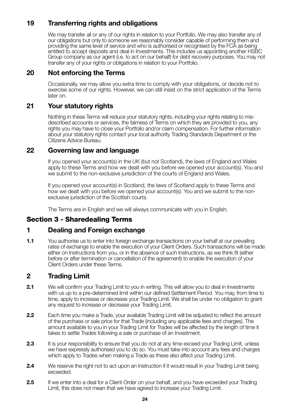## **19 Transferring rights and obligations**

 We may transfer all or any of our rights in relation to your Portfolio. We may also transfer any of our obligations but only to someone we reasonably consider capable of performing them and providing the same level of service and who is authorised or recognised by the FCA as being entitled to accept deposits and deal in Investments. This includes us appointing another HSBC Group company as our agent (i.e. to act on our behalf) for debt recovery purposes. You may not transfer any of your rights or obligations in relation to your Portfolio.

## **20 Not enforcing the Terms**

 Occasionally, we may allow you extra time to comply with your obligations, or decide not to exercise some of our rights. However, we can still insist on the strict application of the Terms later on.

## **21 Your statutory rights**

Nothing in these Terms will reduce your statutory rights, including your rights relating to misdescribed accounts or services, the fairness of Terms on which they are provided to you, any rights you may have to close your Portfolio and/or claim compensation. For further information about your statutory rights contact your local authority Trading Standards Department or the Citizens Advice Bureau.

## **22 Governing law and language**

 If you opened your account(s) in the UK (but not Scotland), the laws of England and Wales apply to these Terms and how we dealt with you before we opened your account(s). You and we submit to the non-exclusive jurisdiction of the courts of England and Wales.

 If you opened your account(s) in Scotland, the laws of Scotland apply to these Terms and how we dealt with you before we opened your account(s). You and we submit to the nonexclusive jurisdiction of the Scottish courts.

The Terms are in English and we will always communicate with you in English.

## **Section 3 - Sharedealing Terms**

## **1 Dealing and Foreign exchange**

**1.1** You authorise us to enter into foreign exchange transactions on your behalf at our prevailing rates of exchange to enable the execution of your Client Orders. Such transactions will be made either on Instructions from you, or in the absence of such Instructions, as we think fit (either before or after termination or cancellation of the agreement) to enable the execution of your Client Orders under these Terms.

## **2 Trading Limit**

- **2.1** We will confirm your Trading Limit to you in writing. This will allow you to deal in Investments with us up to a pre-determined limit within our defined Settlement Period. You may, from time to time, apply to increase or decrease your Trading Limit. We shall be under no obligation to grant any request to increase or decrease your Trading Limit.
- **2.2** Each time you make a Trade, your available Trading Limit will be adjusted to reflect the amount of the purchase or sale price for that Trade (including any applicable fees and charges). The amount available to you in your Trading Limit for Trades will be affected by the length of time it takes to settle Trades following a sale or purchase of an Investment.
- **2.3** It is your responsibility to ensure that you do not at any time exceed your Trading Limit, unless we have expressly authorised you to do so. You must take into account any fees and charges which apply to Trades when making a Trade as these also affect your Trading Limit.
- **2.4** We reserve the right not to act upon an Instruction if it would result in your Trading Limit being exceeded.
- **2.5** If we enter into a deal for a Client Order on your behalf, and you have exceeded your Trading Limit, this does not mean that we have agreed to increase your Trading Limit.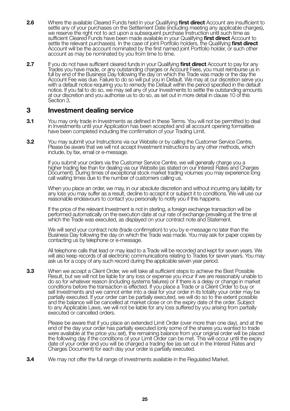- **2.6** Where the available Cleared Funds held in your Qualifying **first direct** Account are insufficient to settle any of your purchases on the Settlement Date (including meeting any applicable charges), we reserve the right not to act upon a subsequent purchase Instruction until such time as sufficient Cleared Funds have been made available in your Qualifying **first direct** Account to settle the relevant purchase(s). In the case of joint Portfolio holders, the Qualifying **first direct** Account will be the account nominated by the first named joint Portfolio holder, or such other account as may be nominated by you from time to time.
- **2.7** If you do not have sufficient cleared funds in your Qualifying first direct Account to pay for any Trades you have made, or any outstanding charges or Account Fees, you must reimburse us in full by end of the Business Day following the day on which the Trade was made or the day the Account Fee was due. Failure to do so will put you in Default. We may at our discretion serve you with a default notice requiring you to remedy the Default within the period specified in the default notice. If you fail to do so, we may sell any of your Investments to settle the outstanding amounts at our discretion and you authorise us to do so, as set out in more detail in clause 10 of this Section 3.

## **3 Investment dealing service**

- **3.1** You may only trade in Investments as defined in these Terms. You will not be permitted to deal in Investments until your Application has been accepted and all account opening formalities have been completed including the confirmation of your Trading Limit.
- **3.2** You may submit your Instructions via our Website or by calling the Customer Service Centre. Please be aware that we will not accept Investment instructions by any other methods, which include, by fax, email or e-message.

 If you submit your orders via the Customer Service Centre, we will generally charge you a higher trading fee than for dealing via our Website (as stated on our Interest Rates and Charges Document). During times of exceptional stock market trading volumes you may experience long call waiting times due to the number of customers calling us.

 When you place an order, we may, in our absolute discretion and without incurring any liability for any loss you may suffer as a result, decline to accept it or subject it to conditions. We will use our reasonable endeavours to contact you personally to notify you if this happens.

 If the price of the relevant Investment is not in sterling, a foreign exchange transaction will be performed automatically on the execution date at our rate of exchange prevailing at the time at which the Trade was executed, as displayed on your contract note and Statement.

 We will send your contract note (trade confirmation) to you by e-message no later than the Business Day following the day on which the Trade was made. You may ask for paper copies by contacting us by telephone or e-message.

 All telephone calls that lead or may lead to a Trade will be recorded and kept for seven years. We will also keep records of all electronic communications relating to Trades for seven years. You may ask us for a copy of any such record during the applicable seven year period.

**3.3** When we accept a Client Order, we will take all sufficient steps to achieve the Best Possible Result, but we will not be liable for any loss or expense you incur if we are reasonably unable to do so for whatever reason (including systems failures) or if there is a delay or change in market conditions before the transaction is effected. If you place a Trade or a Client Order to buy or sell Investments and we cannot enter into a deal for your order in its totality your order may be partially executed. If your order can be partially executed, we will do so to the extent possible and the balance will be cancelled at market close or on the expiry date of the order. Subject to any Applicable Laws, we will not be liable for any loss suffered by you arising from partially executed or cancelled orders.

 Please be aware that if you place an extended Limit Order (over more than one day), and at the end of the day your order has partially executed (only some of the shares you wanted to trade were available at the price you set), the remaining balance from your original order will be placed the following day if the conditions of your Limit Order can be met. This will occur until the expiry date of your order and you will be charged a trading fee (as set out in the Interest Rates and Charges Document) for each day your order is partially executed.

**3.4** We may not offer the full range of investments available in the Regulated Market.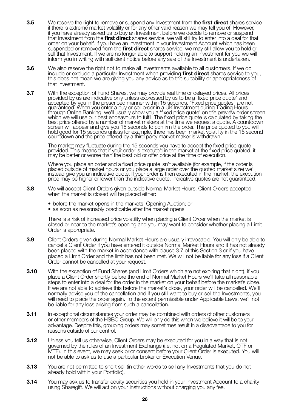- **3.5** We reserve the right to remove or suspend any Investment from the **first direct** shares service if there is extreme market volatility or for any other valid reason we may tell you of. However, if you have already asked us to buy an Investment before we decide to remove or suspend that Investment from the **first direct** shares service, we will still try to enter into a deal for that order on your behalf. If you have an Investment in your Investment Account which has been suspended or removed from the **first direct** shares service, we may still allow you to hold or sell that Investment. If we are no longer able to support holding an Investment for you we will inform you in writing with sufficient notice before any sale of the Investment is undertaken.
- **3.6** We also reserve the right not to make all Investments available to all customers. If we do include or exclude a particular Investment when providing **first direct** shares service to you, this does not mean we are giving you any advice as to the suitability or appropriateness of that Investment.
- **3.7** With the exception of Fund Shares, we may provide real time or delayed prices. All prices<br>provided by us are indicative only unless expressed by us to be a 'fixed price quote' and<br>accepted by you in the prescribed ma guaranteed. When you enter a buy or sell order in a UK Investment during Trading Hours<br>through Online Banking, we'll usually show you a 'fixed price quote' on the preview order screen<br>which we will use our best endeavours best price offered by a number of market makers at the time we request a quote. A countdown screen will appear and give you 15 seconds to confirm the order. The price quoted to you will hold good for 15 seconds unless for example, there has been market volatility in the 15 second countdown and the price offered by a third party market maker is withdrawn.

 The market may fluctuate during the 15 seconds you have to accept the fixed price quote provided. This means that if your order is executed in the market at the fixed price quoted, it may be better or worse than the best bid or offer price at the time of execution.

Where you place an order and a fixed price quote isn't available (for example, if the order is placed outside of market hours or you place a large order over the quoted market size) we'll instead give you an indicative quote. If your order is then executed in the market, the execution price may be higher or lower than the indicative quote. Indicative quotes are not guaranteed.

- **3.8** We will accept Client Orders given outside Normal Market Hours. Client Orders accepted when the market is closed will be placed either:
	- before the market opens in the markets' Opening Auction; or
	- as soon as reasonably practicable after the market opens.

 There is a risk of increased price volatility when placing a Client Order when the market is closed or near to the market's opening and you may want to consider whether placing a Limit Order is appropriate.

- **3.9** Client Orders given during Normal Market Hours are usually irrevocable. You will only be able to cancel a Client Order if you have entered it outside Normal Market Hours and it has not already been placed with the market in accordance with clause 3.7 of this Section 3 or if you have placed a Limit Order and the limit has not been met. We will not be liable for any loss if a Client Order cannot be cancelled at your request.
- **3.10** With the exception of Fund Shares (and Limit Orders which are not expiring that night), if you place a Client Order shortly before the end of Normal Market Hours we'll take all reasonable steps to enter into a deal for the order in the market on your behalf before the market's close. If we are not able to achieve this before the market's close, your order will be cancelled. We'll normally advise you of the cancellation and if you still want to buy or sell the Investments, you will need to place the order again. To the extent permissible under Applicable Laws, we'll not be liable for any loss arising from such a cancellation.
- **3.11** In exceptional circumstances your order may be combined with orders of other customers or other members of the HSBC Group. We will only do this when we believe it will be to your advantage. Despite this, grouping orders may sometimes result in a disadvantage to you for reasons outside of our control.
- **3.12** Unless you tell us otherwise, Client Orders may be executed for you in a way that is not governed by the rules of an Investment Exchange (i.e. not on a Regulated Market, OTF or MTF). In this event, we may seek prior consent before your Client Order is executed. You will not be able to ask us to use a particular broker or Execution Venue.
- **3.13** You are not permitted to short sell (in other words to sell any Investments that you do not already hold within your Portfolio).
- **3.14** You may ask us to transfer equity securities you hold in your Investment Account to a charity using Sharegift. We will act on your Instructions without charging you any fee.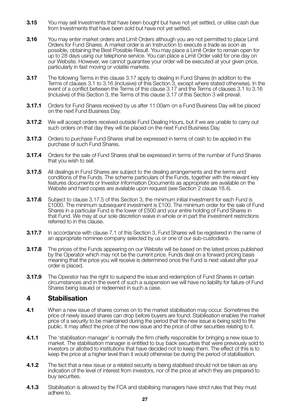- **3.15** You may sell Investments that have been bought but have not yet settled, or utilise cash due from Investments that have been sold but have not yet settled.
- **3.16** You may enter market orders and Limit Orders although you are not permitted to place Limit Orders for Fund Shares. A market order is an Instruction to execute a trade as soon as possible, obtaining the Best Possible Result. You may place a Limit Order to remain open for up to 28 days using our telephone service. You can place a Limit Order valid for one day on our Website. However, we cannot guarantee your order will be executed at your given price, particularly in fast moving or volatile markets.
- **3.17** The following Terms in this clause 3.17 apply to dealing in Fund Shares (in addition to the Terms of clauses 3.1 to 3.16 (inclusive) of this Section 3, except where stated otherwise). In the event of a conflict between the Terms of this clause 3.17 and the Terms of clauses 3.1 to 3.16 (inclusive) of this Section 3, the Terms of this clause 3.17 of this Section 3 will prevail.
- **3.17.1** Orders for Fund Shares received by us after 11:00am on a Fund Business Day will be placed on the next Fund Business Day.
- **3.17.2** We will accept orders received outside Fund Dealing Hours, but if we are unable to carry out such orders on that day they will be placed on the next Fund Business Day.
- **3.17.3** Orders to purchase Fund Shares shall be expressed in terms of cash to be applied in the purchase of such Fund Shares.
- **3.17.4** Orders for the sale of Fund Shares shall be expressed in terms of the number of Fund Shares that you wish to sell.
- **3.17.5** All dealings in Fund Shares are subject to the dealing arrangements and the terms and conditions of the Funds. The scheme particulars of the Funds, together with the relevant key features documents or Investor Information Documents as appropriate are available on the Website and hard copies are available upon request (see Section 2 clause 18.4).
- **3.17.6** Subject to clause 3.17.5 of this Section 3, the minimum initial investment for each Fund is £1000. The minimum subsequent investment is £100. The minimum order for the sale of Fund Shares in a particular Fund is the lower of £500 and your entire holding of Fund Shares in that Fund. We may at our sole discretion waive in whole or in part the investment restrictions referred to in this clause.
- **3.17.7** In accordance with clause 7.1 of this Section 3, Fund Shares will be registered in the name of an appropriate nominee company selected by us or one of our sub-custodians.
- **3.17.8** The prices of the Funds appearing on our Website will be based on the latest prices published by the Operator which may not be the current price. Funds deal on a forward pricing basis meaning that the price you will receive is determined once the Fund is next valued after your order is placed.
- **3.17.9** The Operator has the right to suspend the issue and redemption of Fund Shares in certain circumstances and in the event of such a suspension we will have no liability for failure of Fund Shares being issued or redeemed in such a case.

## **4 Stabilisation**

- **4.1** When a new issue of shares comes on to the market stabilisation may occur. Sometimes the price of newly issued shares can drop before buyers are found. Stabilisation enables the market price of a security to be maintained during the period that the new issue is being sold to the public. It may affect the price of the new issue and the price of other securities relating to it.
- **4.1.1** The 'stabilisation manager' is normally the firm chiefly responsible for bringing a new issue to market. The stabilisation manager is entitled to buy back securities that were previously sold to investors or allotted to institutions that have decided not to keep them. The effect of this is to keep the price at a higher level than it would otherwise be during the period of stabilisation.
- **4.1.2** The fact that a new issue or a related security is being stabilised should not be taken as any indication of the level of interest from investors, nor of the price at which they are prepared to buy securities.
- **4.1.3** Stabilisation is allowed by the FCA and stabilising managers have strict rules that they must adhere to.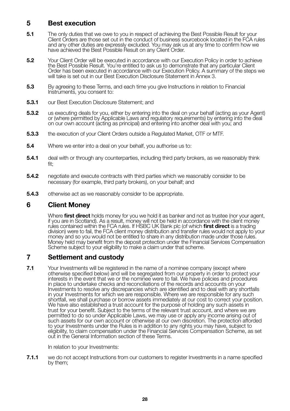## **5 Best execution**

- **5.1** The only duties that we owe to you in respect of achieving the Best Possible Result for your Client Orders are those set out in the conduct of business sourcebook located in the FCA rules and any other duties are expressly excluded. You may ask us at any time to confirm how we have achieved the Best Possible Result on any Client Order.
- **5.2** Your Client Order will be executed in accordance with our Execution Policy in order to achieve the Best Possible Result. You're entitled to ask us to demonstrate that any particular Client Order has been executed in accordance with our Execution Policy. A summary of the steps we will take is set out in our Best Execution Disclosure Statement in Annex 3.
- **5.3** By agreeing to these Terms, and each time you give Instructions in relation to Financial Instruments, you consent to:
- **5.3.1** our Best Execution Disclosure Statement: and
- **5.3.2** us executing deals for you, either by entering into the deal on your behalf (acting as your Agent) or (where permitted by Applicable Laws and regulatory requirements) by entering into the deal on our own account (acting as principal) and entering into another deal with you; and
- **5.3.3** the execution of your Client Orders outside a Regulated Market, OTF or MTF.
- **5.4** Where we enter into a deal on your behalf, you authorise us to:
- **5.4.1** deal with or through any counterparties, including third party brokers, as we reasonably think fit;
- **5.4.2** negotiate and execute contracts with third parties which we reasonably consider to be necessary (for example, third party brokers), on your behalf; and
- **5.4.3** otherwise act as we reasonably consider to be appropriate.

## **6 Client Money**

 Where **first direct** holds money for you we hold it as banker and not as trustee (nor your agent, if you are in Scotland). As a result, money will not be held in accordance with the client money rules contained within the FCA rules. If HSBC UK Bank plc (of which **first direct** is a trading division) were to fail, the FCA client money distribution and transfer rules would not apply to your money and so you would not be entitled to share in any distribution made under those rules. Money held may benefit from the deposit protection under the Financial Services Compensation Scheme subject to your eligibility to make a claim under that scheme.

## **7 Settlement and custody**

**7.1** Your Investments will be registered in the name of a nominee company (except where otherwise specified below) and will be segregated from our property in order to protect your interests in the event that we or the nominee were to fail. We have policies and procedures in place to undertake checks and reconciliations of the records and accounts on your Investments to resolve any discrepancies which are identified and to deal with any shortfalls in your Investments for which we are responsible. Where we are responsible for any such shortfall, we shall purchase or borrow assets immediately at our cost to correct your position. We have also established a trust account for the purpose of holding any such assets in trust for your benefit. Subject to the terms of the relevant trust account, and where we are permitted to do so under Applicable Laws, we may use or apply any income arising out of such assets for our own account or otherwise at our own discretion. The protection afforded to your Investments under the Rules is in addition to any rights you may have, subject to eligibility, to claim compensation under the Financial Services Compensation Scheme, as set out in the General Information section of these Terms.

In relation to your Investments:

**7.1.1** we do not accept Instructions from our customers to register Investments in a name specified by them;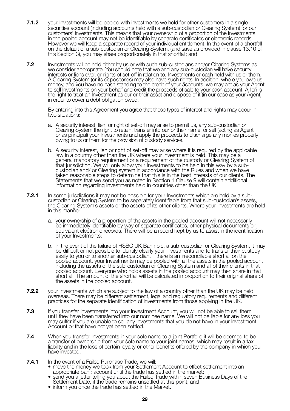- **7.1.2** vour Investments will be pooled with investments we hold for other customers in a single securities account (including accounts held with a sub-custodian or Clearing System) for our customers' investments. This means that your ownership of a proportion of the investments in the pooled account may not be identifiable by separate certificates or electronic records. However we will keep a separate record of your individual entitlement. In the event of a shortfall on the default of a sub-custodian or Clearing System, (and save as provided in clause 13.10 of this Section 3), you may share proportionately in that shortfall; and
- **7.2** Investments will be held either by us or with such sub-custodians and/or Clearing Systems as we consider appropriate. You should note that we and any sub-custodian will have security interests or liens over, or rights of set-off in relation to, Investments or cash held with us or them. A Clearing System (or its depositories) may also have such rights. In addition, where you owe us<br>money, and you have no cash standing to the credit of your accounts, we may act as your Agent<br>to sell Investments on your beh the right to treat an Investment as our or their asset and dispose of it (in our case as your Agent) in order to cover a debt obligation owed.

 By entering into this Agreement you agree that these types of interest and rights may occur in two situations:

- a. A security interest, lien, or right of set-off may arise to permit us, any sub-custodian or Clearing System the right to retain, transfer into our or their name, or sell (acting as Agent or as principal) your Investments and apply the proceeds to discharge any monies properly owing to us or them for the provision of custody services.
- b. A security interest, lien or right of set-off may arise where it is required by the applicable law in a country other than the UK where your Investment is held. This may be a general mandatory requirement or a requirement of the custody or Clearing System of that jurisdiction. We will only allow your Investments to be held in this way by a subcustodian and/ or Clearing system in accordance with the Rules and when we have taken reasonable steps to determine that this is in the best interests of our clients. The Statements that we send you as noted in Section 1 Clause 9 will contain additional information regarding Investments held in countries other than the UK.
- **7.2.1** In some jurisdictions it may not be possible for your Investments which are held by a subcustodian or Clearing System to be separately identifiable from that sub-custodian's assets, the Clearing System's assets or the assets of its other clients. Where your Investments are held in this manner:
	- a. your ownership of a proportion of the assets in the pooled account will not necessarily be immediately identifiable by way of separate certificates, other physical documents or equivalent electronic records. There will be a record kept by us to assist in the identification of your Investments;
- b. in the event of the failure of HSBC UK Bank plc, a sub-custodian or Clearing System, it may<br>be difficult or not possible to identify clearly your Investments and to transfer their custody<br>easily to you or to another su pooled account, your Investments may be pooled with all the assets in the pooled account including the assets of the sub-custodian or Clearing System and all of their clients in that pooled account. Everyone who holds assets in the pooled account may then share in that shortfall. The amount of the shortfall will be calculated in proportion to their original share of the assets in the pooled account.
- **7.2.2** your Investments which are subject to the law of a country other than the UK may be held overseas. There may be different settlement, legal and regulatory requirements and different practices for the separate identification of investments from those applying in the UK.
- **7.3** If you transfer Investments into your Investment Account, you will not be able to sell them until they have been transferred into our nominee name. We will not be liable for any loss you may suffer if you are unable to sell any Investments that you do not have in your Investment Account or that have not yet been settled.
- **7.4** When you transfer Investments in your sole name to a joint Portfolio it will be deemed to be a transfer of ownership from your sole name to your joint names, which may result in a tax liability and in the loss of certain loyalty or other benefits offered by the company in which you have invested.
- 
- **7.4.1** In the event of a Failed Purchase Trade, we will:<br>• move the money we took from your Settlement Account to effect settlement into an appropriate bank account until the trade has settled in the market;
	- send you a letter telling you about the Failed Trade within seven Business Days of the Settlement Date, if the trade remains unsettled at this point; and
	- inform you once the trade has settled in the Market.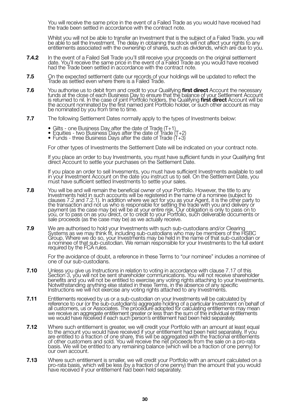You will receive the same price in the event of a Failed Trade as you would have received had the trade been settled in accordance with the contract note.

 Whilst you will not be able to transfer an Investment that is the subject of a Failed Trade, you will be able to sell the Investment. The delay in obtaining the stock will not affect your rights to any entitlements associated with the ownership of shares, such as dividends, which are due to you.

- **7.4.2** In the event of a Failed Sell Trade you'll still receive your proceeds on the original settlement date. You'll receive the same price in the event of a Failed Trade as you would have received had the Trade been settled in accordance with the contract note.
- **7.5** On the expected settlement date our records of your holdings will be updated to reflect the Trade as settled even where there is a Failed Trade.
- **7.6** You authorise us to debit from and credit to your Qualifying **first direct** Account the necessary funds at the close of each Business Day to ensure that the balance of your Settlement Account is returned to nil. In the case of joint Portfolio holders, the Qualifying **first direct** Account will be<br>the account nominated by the first named joint Portfolio holder, or such other account as may be nominated by you from time to time.
- **7.7** The following Settlement Dates normally apply to the types of Investments below:
	-
- Gilts one Business Day after the date of Trade (T+1) Equities two Business Days after the date of Trade (T+2) Funds three Business Days after the date of Trade (T+3)
	-

For other types of Investments the Settlement Date will be indicated on your contract note.

 If you place an order to buy Investments, you must have sufficient funds in your Qualifying first direct Account to settle your purchases on the Settlement Date.

 If you place an order to sell Invesments, you must have sufficient Investments available to sell in your Investment Account on the date you instruct us to sell. On the Settlement Date, you must have sufficient settled Investments to settle your sales.

- **7.8** You will be and will remain the beneficial owner of your Portfolio. However, the title to any Investments held in such accounts will be registered in the name of a nominee (subject to clauses 7.2 and 7.2.1). In addition where we act for you as your Agent, it is the other party to the transaction and not us who is responsible for settling the trade with you and delivery or payment (as the case may be) will be at your entire risk. Our obligation is only to pass on to you, or to pass on as you direct, or to credit to your Portfolio, such deliverable documents or sale proceeds (as the case may be) as we actually receive.
- 7.9 We are authorised to hold your Investments with such sub-custodians and/or Clearing<br>Systems as we may think fit, including sub-custodians who may be members of the HSBC<br>Group. Where we do so, your Investments may be he

 For the avoidance of doubt, a reference in these Terms to "our nominee" includes a nominee of one of our sub-custodians.

- **7.10** Unless you give us Instructions in relation to voting in accordance with clause 7.17 of this Section 3, you will not be sent shareholder communications. You will not receive shareholder benefits and you will not be entitled to exercise any voting rights attaching to your Investments. Notwithstanding anything else stated in these Terms, in the absence of any specific Instructions we will not exercise any voting rights attached to any Investments.
- **7.11** Entitlements received by us or a sub-custodian on your Investments will be calculated by reference to our (or the sub-custodian's) aggregate holding of a particular Investment on behalf of all customers, us or Associates. The procedure adopted for calculating entitlements may mean we receive an aggregate entitlement greater or less than the sum of the individual entitlements we would have received if each such person's entitlement had been held separately.
- **7.12** Where such entitlement is greater, we will credit your Portfolio with an amount at least equal to the amount you would have received if your entitlement had been held separately. If you are entitled to a fraction of one share, this will be aggregated with the fractional entitlements of other customers and sold. You will receive the net proceeds from the sale on a pro-rata basis. We will be entitled to any remaining balance (which will be a fraction of one penny) for our own account.
- 7.13 Where such entitlement is smaller, we will credit your Portfolio with an amount calculated on a<br>pro-rata basis, which will be less (by a fraction of one penny) than the amount that you would<br>have received if your enti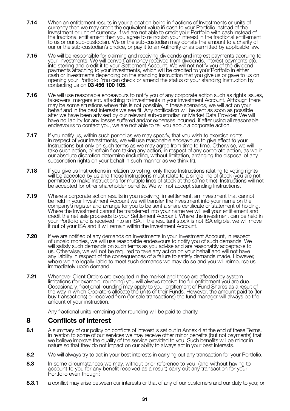- 7.14 When an entitlement results in your allocation being in fractions of Investments or units of<br>currency then we may credit the equivalent value in cash to your Portfolio instead of the<br>Investment or unit of currency. If the fractional entitlement then you agree to relinquish your interest in the fractional entitlement to us or our sub-custodian. We or the sub-custodian may donate the amount to a charity of our or the sub-custodian's choice, or pay it to an Authority or as permitted by applicable law.
- 7.15 We will be responsible for claiming and receiving dividends and interest payments accruing to<br>your Investments. We will convert all money received from dividends, interest payments etc.<br>into sterling and credit it to payments attaching to your Investments, which will be credited to your Portfolio in either cash or Investments depending on the standing Instruction that you give us or gave to us on opening your Portfolio. You can check or amend the status of your standing Instruction by contacting us on **03 456 100 105**.
- **7.16** We will use reasonable endeavours to notify you of any corporate action such as rights issues, takeovers, mergers etc. attaching to Investments in your Investment Account. Although there may be some situations where this is not possible, in these scenarios, we will act on your behalf and in the best interests we see fit. Any notification will be sent as soon as possible after we have been advised by our relevant sub-custodian or Market Data Provider. We will have no liability for any losses suffered and/or expenses incurred, if after using all reasonable endeavours to contact you, we are not able to tell you about a corporate action.
- **7.17** If you notify us, within such period as we may specify, that you wish to exercise rights in respect of your Investments, we will use reasonable endeavours to give effect to your Instructions but only on such terms as we may agree from time to time. Otherwise, we will take such action, or refrain from taking any action, in respect of any corporate action, as we in our absolute discretion determine (including, without limitation, arranging the disposal of any subscription rights on your behalf in such manner as we think fit).
- **7.18** If you give us Instructions in relation to voting, only those Instructions relating to voting rights will be accepted by us and those Instructions must relate to a single line of stock (you are not permitted to make Instructions for multiple lines of stock at the same time). Instructions will not be accepted for other shareholder benefits. We will not accept standing Instructions.
- **7.19** Where a corporate action results in you receiving, in settlement, an Investment that cannot be held in your Investment Account we will transfer the Investment into your name on the company's register and arrange for you to be sent a share certificate or statement of holding. Where the Investment cannot be transferred into your name we will sell your entitlement and credit the net sale proceeds to your Settlement Account. Where the investment can be held in your Portfolio and is received into an ISA, if the resultant stock is not ISA eligible, we will move it out of your ISA and it will remain within the Investment Account.
- **7.20** If we are notified of any demands on Investments in your Investment Account, in respect of unpaid monies, we will use reasonable endeavours to notify you of such demands. We will satisfy such demands on such terms as you advise and are reasonably acceptable to us. Otherwise, we will not be required to take any action on your behalf and will not have any liability in respect of the consequences of a failure to satisfy demands made. However, where we are legally liable to meet such demands we may do so and you will reimburse us immediately upon demand.
- **7.21** Whenever Client Orders are executed in the market and these are affected by system limitations (for example, rounding) you will always receive the full entitlement you are due. Occasionally, fractional rounding may apply to your entitlement of Fund Shares as a result of the way in which Operators allocate the units of their Funds. However, the amount paid to (for buy transactions) or received from (for sale transactions) the fund manager will always be the amount of your instruction.

Any fractional units remaining after rounding will be paid to charity.

## **8 Conflicts of interest**

- 8.1 A summary of our policy on conflicts of interest is set out in Annex 4 at the end of these Terms. In relation to some of our services we may receive other minor benefits (but not payments) that we believe improve the quality of the service provided to you. Such benefits will be minor in nature so that they do not impact on our ability to always act in your best interests.
- **8.2** We will always try to act in your best interests in carrying out any transaction for your Portfolio.
- **8.3** In some circumstances we may, without prior reference to you, (and without having to account to you for any benefit received as a result) carry out any transaction for your Portfolio even though:
- **8.3.1** a conflict may arise between our interests or that of any of our customers and our duty to you; or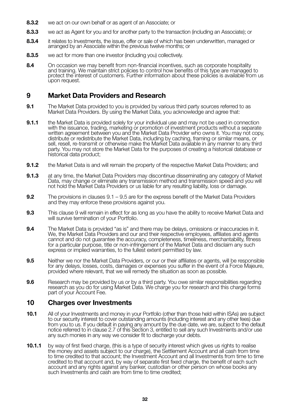- **8.3.2** we act on our own behalf or as agent of an Associate; or
- **8.3.3** we act as Agent for you and for another party to the transaction (including an Associate); or
- **8.3.4** it relates to Investments, the issue, offer or sale of which has been underwritten, managed or arranged by an Associate within the previous twelve months; or
- **8.3.5** we act for more than one investor (including you) collectively.
- **8.4** On occasion we may benefit from non-financial incentives, such as corporate hospitality and training. We maintain strict policies to control how benefits of this type are managed to protect the interest of customers. Further information about these policies is available from us upon request.

## **9 Market Data Providers and Research**

- **9.1** The Market Data provided to you is provided by various third party sources referred to as Market Data Providers. By using the Market Data, you acknowledge and agree that:
- **9.1.1** the Market Data is provided solely for your individual use and may not be used in connection with the issuance, trading, marketing or promotion of investment products without a separate written agreement between you and the Market Data Provider who owns it. You may not copy, distribute or redistribute the Market Data, including by caching, framing or similar means, or sell, resell, re-transmit or otherwise make the Market Data available in any manner to any third party. You may not store the Market Data for the purposes of creating a historical database or historical data product;
- **9.1.2** the Market Data is and will remain the property of the respective Market Data Providers; and
- **9.1.3** at any time, the Market Data Providers may discontinue disseminating any category of Market Data, may change or eliminate any transmission method and transmission speed and you will not hold the Market Data Providers or us liable for any resulting liability, loss or damage.
- **9.2** The provisions in clauses 9.1 9.5 are for the express benefit of the Market Data Providers and they may enforce these provisions against you.
- **9.3** This clause 9 will remain in effect for as long as you have the ability to receive Market Data and will survive termination of your Portfolio.
- **9.4** The Market Data is provided "as is" and there may be delays, omissions or inaccuracies in it. We, the Market Data Providers and our and their respective employees, affiliates and agents cannot and do not guarantee the accuracy, completeness, timeliness, merchantability, fitness for a particular purpose, title or non-infringement of the Market Data and disclaim any such express or implied warranties, to the fullest extent permitted by law.
- **9.5** Neither we nor the Market Data Providers, or our or their affiliates or agents, will be responsible for any delays, losses, costs, damages or expenses you suffer in the event of a Force Majeure, provided where relevant, that we will remedy the situation as soon as possible.
- **9.6** Research may be provided by us or by a third party. You owe similar responsibilities regarding research as you do for using Market Data. We charge you for research and this charge forms part of your Account Fee.

## **10 Charges over Investments**

- **10.1** All of your Investments and money in your Portfolio (other than those held within ISAs) are subject to our security interest to cover outstanding amounts (including interest and any other fees) due from you to us. If you default in paying any amount by the due date, we are, subject to the default notice referred to in clause 2.7 of this Section 3, entitled to sell any such Investments and/or use any such monies in any way we consider fit to discharge your debts.
- **10.1.1** by way of first fixed charge, (this is a type of security interest which gives us rights to realise the money and assets subject to our charge), the Settlement Account and all cash from time to time credited to that account; the Investment Account and all Investments from time to time credited to that account and, by way of separate first fixed charge, the benefit of each such account and any rights against any banker, custodian or other person on whose books any such Investments and cash are from time to time credited: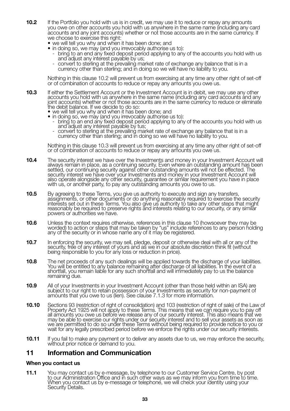- **10.2** If the Portfolio you hold with us is in credit, we may use it to reduce or repay any amounts you owe on other accounts you hold with us anywhere in the same name (including any card accounts and any joint accounts) whether or not those accounts are in the same currency. If we choose to exercise this right:
	- we will tell you why and when it has been done; and
	- in doing so, we may (and you irrevocably authorise us to):
		- bring to an end any fixed deposit period applying to any of the accounts you hold with us<br>- and adiust any interest payable by us:
		- convert to sterling at the prevailing market rate of exchange any balance that is in a currency other than sterling; and in doing so we will have no liability to you.

 Nothing in this clause 10.2 will prevent us from exercising at any time any other right of set-off or of combination of accounts to reduce or repay any amounts you owe us.

- **10.3** If either the Settlement Account or the Investment Account is in debit, we may use any other accounts you hold with us anywhere in the same name (including any card accounts and any joint accounts) whether or not those accounts are in the same currency to reduce or eliminate the debit balance. If we decide to do so:
	- we will tell you why and when it has been done; and
	-
- in doing so, we may (and you irrevocably authorise us to): bring to an end any fixed deposit period applying to any of the accounts you hold with us
- and adjust any interest payable by tus;<br>- convert to sterling at the prevailing market rate of exchange any balance that is in a<br>currency other than sterling; and in doing so we will have no liability to you.

 Nothing in this clause 10.3 will prevent us from exercising at any time any other right of set-off or of combination of accounts to reduce or repay any amounts you owe us.

- **10.4** The security interest we have over the Investments and money in your Investment Account will always remain in place, as a continuing security. Even where an outstanding amount has been settled, our continuing security against other outstanding amounts will not be effected. The security interest we have over your Investments and money in your Investment Account will<br>also operate alongside any other security, guarantee or similar requirement you have in place<br>with us, or another party, to pay any
- **10.5** By agreeing to these Terms, you give us authority to execute and sign any transfers, assignments, or other documents or do anything reasonably required to exercise the security interests set out in these Terms. You also give us authority to take any other steps that might reasonably be required to preserve rights and interests relating to our security, or any similar powers or authorities we have.
- **10.6** Unless the context requires otherwise, references in this clause 10 (howsoever they may be worded) to action or steps that may be taken by "us" include references to any person holding any of the security or in whose name any of it may be registered.
- **10.7** In enforcing the security, we may sell, pledge, deposit or otherwise deal with all or any of the security, free of any interest of yours and as we in our absolute discretion think fit (without being responsible to you for any loss or reduction in price).
- **10.8** The net proceeds of any such dealings will be applied towards the discharge of your liabilities. You will be entitled to any balance remaining after discharge of all liabilities. In the event of a shortfall, you remain liable for any such shortfall and will immediately pay to us the balance remaining due.
- **10.9** All of your Investments in your Investment Account (other than those held within an ISA) are subject to our right to retain possession of your Investments as security for non-payment of amounts that you owe to us (lien). See clause 7.1.3 for more information.
- **10.10** Sections 93 (restriction of right of consolidation) and 103 (restriction of right of sale) of the Law of Property Act 1925 will not apply to these Terms. This means that we can require you to pay off all amounts you owe us before we release any of our security interest. This also means that we may be able to exercise our rights under our security interest and to sell your assets as soon as we are permitted to do so under these Terms without being required to provide notice to you or wait for any legally prescribed period before we enforce the rights under our security interests.
- **10.11** If you fail to make any payment or to deliver any assets due to us, we may enforce the security, without prior notice or demand to you.

#### **11 Information and Communication**

#### **When you contact us**

**11.1** You may contact us by e-message, by telephone to our Customer Service Centre, by post to our Administration Office and in such other ways as we may inform you from time to time. When you contact us by e-message or telephone, we will check your identity using your Security Details.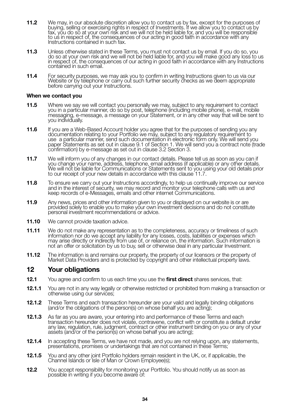- **11.2** We may, in our absolute discretion allow you to contact us by fax, except for the purposes of<br>buying, selling or exercising rights in respect of Investments. If we allow you to contact us by<br>fax, you do so at your o to us in respect of, the consequences of our acting in good faith in accordance with any Instructions contained in such fax.
- **11.3** Unless otherwise stated in these Terms, you must not contact us by email. If you do so, you<br>do so at your own risk and we will not be held liable for, and you will make good any loss to us<br>in respect of, the consequ contained in such email.
- **11.4** For security purposes, we may ask you to confirm in writing Instructions given to us via our Website or by telephone or carry out such further security checks as we deem appropriate before carrying out your Instructions.

#### **When we contact you**

- **11.5** Where we say we will contact you personally we may, subject to any requirement to contact vectors of the contact point of the system of the system of the system of the system of the system of the system of the syste messaging, e-message, a message on your Statement, or in any other way that will be sent to you individually.
- **11.6** If you are a Web-Based Account holder you agree that for the purposes of sending you any<br>documentation relating to your Portfolio we may, subject to any regulatory requirement to<br>use a particular manner, send such d paper Statements as set out in clause 9.1 of Section 1. We will send you a contract note (trade confirmation) by e-message as set out in clause 3.2 Section 3.
- **11.7** We will inform you of any changes in our contact details. Please tell us as soon as you can if you change your name, address, telephone, email address (if applicable) or any other details. We will not be liable for Communications or Statements sent to you using your old details prior to our receipt of your new details in accordance with this clause 11.7.
- **11.8** To ensure we carry out your Instructions accordingly, to help us continually improve our service and in the interest of security, we may record and monitor your telephone calls with us and keep records of e-Messages, emails and other internet Communications.
- **11.9** Any news, prices and other information given to you or displayed on our website is or are provided solely to enable you to make your own investment decisions and do not constitute personal investment recommendations or advice.
- **11.10** We cannot provide taxation advice.
- **11.11** We do not make any representation as to the completeness, accuracy or timeliness of such information nor do we accept any liability for any losses, costs, liabilities or expenses which may arise directly or indirectly from use of, or reliance on, the information. Such information is not an offer or solicitation by us to buy, sell or otherwise deal in any particular Investment.
- **11.12** The information is and remains our property, the property of our licensors or the property of Market Data Providers and is protected by copyright and other intellectual property laws.

#### **12 Your obligations**

- **12.1** You agree and confirm to us each time you use the **first direct** shares services, that:
- **12.1.1** You are not in any way legally or otherwise restricted or prohibited from making a transaction or otherwise using our services;
- **12.1.2** These Terms and each transaction hereunder are your valid and legally binding obligations (and/or the obligations of the person(s) on whose behalf you are acting);
- **12.1.3** As far as you are aware, your entering into and performance of these Terms and each transaction hereunder does not violate, contravene, conflict with or constitute a default under any law, regulation, rule, judgment, contract or other instrument binding on you or any of your assets (and/or of the person(s) on whose behalf you are acting);
- **12.1.4** In accepting these Terms, we have not made, and you are not relying upon, any statements, presentations, promises or undertakings that are not contained in these Terms;
- **12.1.5** You and any other joint Portfolio holders remain resident in the UK, or, if applicable, the Channel Islands or Isle of Man or Crown Employee(s);
- **12.2** You accept responsibility for monitoring your Portfolio. You should notify us as soon as possible in writing if you become aware of: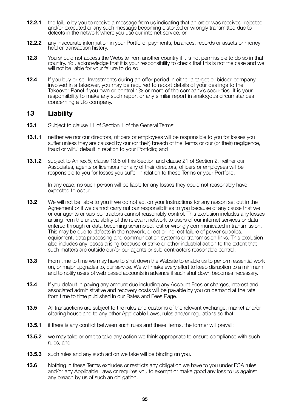- **12.2.1** the failure by you to receive a message from us indicating that an order was received, rejected and/or executed or any such message becoming distorted or wrongly transmitted due to defects in the network where you use our internet service; or
- **12.2.2** any inaccurate information in your Portfolio, payments, balances, records or assets or money held or transaction history.
- **12.3** You should not access the Website from another country if it is not permissible to do so in that country. You acknowledge that it is your responsibility to check that this is not the case and we will not be liable for your failure to do so.
- **12.4** If you buy or sell Investments during an offer period in either a target or bidder company involved in a takeover, you may be required to report details of your dealings to the Takeover Panel if you own or control 1% or more of the company's securities. It is your responsibility to make any such report or any similar report in analogous circumstances concerning a US company.

## **13 Liability**

- **13.1** Subject to clause 11 of Section 1 of the General Terms:
- **13.1.1** neither we nor our directors, officers or employees will be responsible to you for losses you suffer unless they are caused by our (or their) breach of the Terms or our (or their) negligence, fraud or wilful default in relation to your Portfolio; and
- **13.1.2** subject to Annex 5, clause 13.6 of this Section and clause 21 of Section 2, neither our Associates, agents or licensors nor any of their directors, officers or employees will be responsible to you for losses you suffer in relation to these Terms or your Portfolio.

 In any case, no such person will be liable for any losses they could not reasonably have expected to occur.

- **13.2** We will not be liable to you if we do not act on your Instructions for any reason set out in the Agreement or if we cannot carry out our responsibilities to you because of any cause that we or our agents or sub-contractors cannot reasonably control. This exclusion includes any losses arising from the unavailability of the relevant network to users of our internet services or data entered through or data becoming scrambled, lost or wrongly communicated in transmission. This may be due to defects in the network, direct or indirect failure of power supplies, equipment, data processing and communication systems or transmission links. This exclusion also includes any losses arising because of strike or other industrial action to the extent that such matters are outside our/or our agents or sub-contractors reasonable control.
- **13.3** From time to time we may have to shut down the Website to enable us to perform essential work on, or major upgrades to, our service. We will make every effort to keep disruption to a minimum and to notify users of web based accounts in advance if such shut down becomes necessary.
- **13.4** If you default in paying any amount due including any Account Fees or charges, interest and associated administrative and recovery costs will be payable by you on demand at the rate from time to time published in our Rates and Fees Page.
- **13.5** All transactions are subject to the rules and customs of the relevant exchange, market and/or clearing house and to any other Applicable Laws, rules and/or regulations so that:
- **13.5.1** if there is any conflict between such rules and these Terms, the former will prevail;
- **13.5.2** we may take or omit to take any action we think appropriate to ensure compliance with such rules; and
- **13.5.3** such rules and any such action we take will be binding on you.
- **13.6** Nothing in these Terms excludes or restricts any obligation we have to you under FCA rules and/or any Applicable Laws or requires you to exempt or make good any loss to us against any breach by us of such an obligation.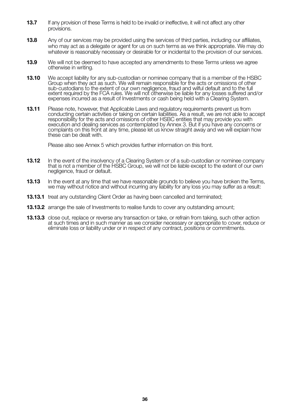- **13.7** If any provision of these Terms is held to be invalid or ineffective, it will not affect any other provisions.
- **13.8** Any of our services may be provided using the services of third parties, including our affiliates, who may act as a delegate or agent for us on such terms as we think appropriate. We may do whatever is reasonably necessary or desirable for or incidental to the provision of our services.
- **13.9** We will not be deemed to have accepted any amendments to these Terms unless we agree otherwise in writing.
- **13.10** We accept liability for any sub-custodian or nominee company that is a member of the HSBC Group when they act as such. We will remain responsible for the acts or omissions of other sub-custodians to the extent of our own negligence, fraud and wilful default and to the full extent required by the FCA rules. We will not otherwise be liable for any losses suffered and/or expenses incurred as a result of Investments or cash being held with a Clearing System.
- **13.11** Please note, however, that Applicable Laws and regulatory requirements prevent us from conducting certain activities or taking on certain liabilities. As a result, we are not able to accept responsibility for the acts and omissions of other HSBC entities that may provide you with execution and dealing services as contemplated by Annex 3. But if you have any concerns or complaints on this front at any time, please let us know straight away and we will explain how these can be dealt with.

Please also see Annex 5 which provides further information on this front.

- **13.12** In the event of the insolvency of a Clearing System or of a sub-custodian or nominee company that is not a member of the HSBC Group, we will not be liable except to the extent of our own negligence, fraud or default.
- **13.13** In the event at any time that we have reasonable grounds to believe you have broken the Terms, we may without notice and without incurring any liability for any loss you may suffer as a result:
- **13.13.1** treat any outstanding Client Order as having been cancelled and terminated;
- **13.13.2** arrange the sale of Investments to realise funds to cover any outstanding amount:
- **13.13.3** close out, replace or reverse any transaction or take, or refrain from taking, such other action at such times and in such manner as we consider necessary or appropriate to cover, reduce or eliminate loss or liability under or in respect of any contract, positions or commitments.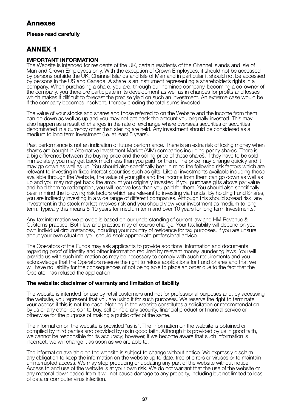## **Annexes**

#### **Please read carefully**

## **ANNEX 1**

#### **IMPORTANT INFORMATION**

The Website is intended for residents of the UK, certain residents of the Channel Islands and Isle of Man and Crown Employees only. With the exception of Crown Employees, it should not be accessed by persons outside the UK, Channel Islands and Isle of Man and in particular it should not be accessed by persons in the US and Canada. A share is an instrument representing a shareholder's rights in a company. When purchasing a share, you are, through our nominee company, becoming a co-owner of the company, you therefore participate in its development as well as in chances for profits and losses which makes it difficult to forecast the precise yield on such an Investment. An extreme case would be if the company becomes insolvent, thereby eroding the total sums invested.

The value of your stocks and shares and those referred to on the Website and the income from them can go down as well as up and you may not get back the amount you originally invested. This may also happen as a result of changes in the rate of exchange where overseas securities or securities denominated in a currency other than sterling are held. Any investment should be considered as a medium to long term investment (i.e. at least 5 years).

Past performance is not an indication of future performance. There is an extra risk of losing money when shares are bought in Alternative Investment Market (AIM) companies including penny shares. There is a big difference between the buying price and the selling price of these shares. If they have to be sold immediately, you may get back much less than you paid for them. The price may change quickly and it may go down as well as up. You should also specifically bear in mind the following risk factors which are relevant to investing in fixed interest securities such as gilts. Like all investments available including those available through the Website, the value of your gilts and the income from them can go down as well as up and you may not get back the amount you originally invested. If you purchase gilts above par value and hold them to redemption, you will receive less than you paid for them. You should also specifically bear in mind the following risk factors which are relevant to investing via Funds. By holding Fund Shares, you are indirectly investing in a wide range of different companies. Although this should spread risk, any investment in the stock market involves risk and you should view your investment as medium to long term. Typically this means 5-10 years for medium term and over 10 years for long term Investments.

Any tax information we provide is based on our understanding of current law and HM Revenue & Customs practice. Both law and practice may of course change. Your tax liability will depend on your own individual circumstances, including your country of residence for tax purposes. If you are unsure about your own situation, you should seek appropriate professional advice.

The Operators of the Funds may ask applicants to provide additional information and documents regarding proof of identity and other information required by relevant money laundering laws. You will provide us with such information as may be necessary to comply with such requirements and you acknowledge that the Operators reserve the right to refuse applications for Fund Shares and that we will have no liability for the consequences of not being able to place an order due to the fact that the Operator has refused the application.

#### **The website: disclaimer of warranty and limitation of liability**

The website is intended for use by retail customers and not for professional purposes and, by accessing the website, you represent that you are using it for such purposes. We reserve the right to terminate your access if this is not the case. Nothing in the website constitutes a solicitation or recommendation by us or any other person to buy, sell or hold any security, financial product or financial service or otherwise for the purpose of making a public offer of the same.

The information on the website is provided "as is". The information on the website is obtained or compiled by third parties and provided by us in good faith. Although it is provided by us in good faith, we cannot be responsible for its accuracy; however, if we become aware that such information is incorrect, we will change it as soon as we are able to.

The information available on the website is subject to change without notice. We expressly disclaim any obligation to keep the information on the website up to date, free of errors or viruses or to maintain uninterrupted access. We may stop producing or updating any part of the website without notice Access to and use of the website is at your own risk. We do not warrant that the use of the website or any material downloaded from it will not cause damage to any property, including but not limited to loss of data or computer virus infection.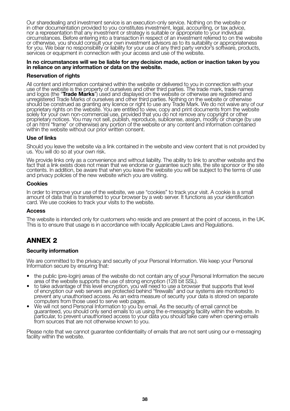Our sharedealing and investment service is an execution-only service. Nothing on the website or in other documentation provided to you constitutes investment, legal, accounting, or tax advice, nor a representation that any investment or strategy is suitable or appropriate to your individual circumstances. Before entering into a transaction in respect of an investment referred to on the website or otherwise, you should consult your own investment advisors as to its suitability or appropriateness for you. We bear no responsibility or liability for your use of any third party vendor's software, products, services or equipment in connection with your access and use of the website.

#### **In no circumstances will we be liable for any decision made, action or inaction taken by you in reliance on any information or data on the website.**

#### **Reservation of rights**

All content and information contained within the website or delivered to you in connection with your use of the website is the property of ourselves and other third parties. The trade mark, trade names<br>and logos (the "**Trade Marks**") used and displayed on the website or otherwise are registered and and logos (the "**Trade Marks**") used and displayed on the website or otherwise are registered and<br>unregistered Trade Marks of ourselves and other third parties. Nothing on the website or otherwise<br>should be construed as gr solely for your own non-commercial use, provided that you do not remove any copyright or other proprietary notices. You may not sell, publish, reproduce, sublicense, assign, modify or change (by use of an html "frame" or otherwise) any portion of the website or any content and information contained within the website without our prior written consent.

#### **Use of links**

Should you leave the website via a link contained in the website and view content that is not provided by us. You will do so at your own risk.

We provide links only as a convenience and without liability. The ability to link to another website and the fact that a link exists does not mean that we endorse or guarantee such site, the site sponsor or the site contents. In addition, be aware that when you leave the website you will be subject to the terms of use and privacy policies of the new website which you are visiting.

#### **Cookies**

In order to improve your use of the website, we use "cookies" to track your visit. A cookie is a small amount of data that is transferred to your browser by a web server. It functions as your identification card. We use cookies to track your visits to the website.

#### **Access**

The website is intended only for customers who reside and are present at the point of access, in the UK. This is to ensure that usage is in accordance with locally Applicable Laws and Regulations.

## **ANNEX 2**

#### **Security information**

We are committed to the privacy and security of your Personal Information. We keep your Personal Information secure by ensuring that:

- the public (pre-login) areas of the website do not contain any of your Personal Information the secure area of the website supports the use of strong encryption (128 bit SSL).
- area of the website supports the use of strong encryption (128 bit SSL).<br>• to take advantage of this level encryption, you will need to use a browser that supports that level<br>• of encryption our web servers are protected b prevent any unauthorised access. As an extra measure of security your data is stored on separate<br>computers from those used to serve web pages.
- We will not send Personal Information to you by email. As the security of email cannot be guaranteed, you should only send emails to us using the e-messaging facility within the website. In particular, to prevent unauthorised access to your data you should take care when opening emails from sources that are not otherwise known to you.

Please note that we cannot guarantee confidentiality of emails that are not sent using our e-messaging facility within the website.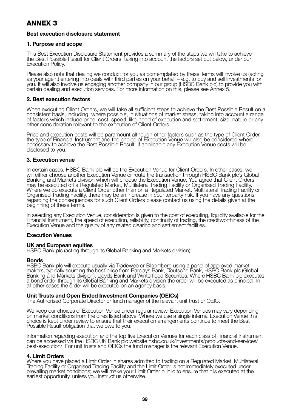## **ANNEX 3**

#### **Best execution disclosure statement**

#### **1. Purpose and scope**

This Best Execution Disclosure Statement provides a summary of the steps we will take to achieve the Best Possible Result for Client Orders, taking into account the factors set out below, under our Execution Policy.

Please also note that dealing we conduct for you as contemplated by these Terms will involve us (acting as your agent) entering into deals with third parties on your behalf – e.g. to buy and sell Investments for<br>you. It will also involve us engaging another company in our group (HSBC Bank plc) to provide you with certain dealing and execution services. For more information on this, please see Annex 5.

#### **2. Best execution factors**

When executing Client Orders, we will take all sufficient steps to achieve the Best Possible Result on a consistent basis, including, where possible, in situations of market stress, taking into account a range of factors which include price; cost; speed; likelihood of execution and settlement; size; nature or any other consideration relevant to the execution of Client Orders.

Price and execution costs will be paramount although other factors such as the type of Client Order,<br>the type of Financial Instrument and the choice of Execution Venue will also be considered where necessary to achieve the Best Possible Result. If applicable any Execution Venue costs will be disclosed to you.

#### **3. Execution venue**

In certain cases, HSBC Bank plc will be the Execution Venue for Client Orders. In other cases, we will either choose another Execution Venue or route the transaction through HSBC Bank plc's Global Banking and Markets division which will choose the Execution Venue. You agree that Client Orders may be executed off a Regulated Market, Multilateral Trading Facility or Organised Trading Facility. Where we do execute a Client Order other than on a Regulated Market, Multilateral Trading Facility or Organised Trading Facility, there may be an increase in counterparty risk. If you have any questions regarding the consequences for such Client Orders please contact us using the details given at the beginning of these terms.

In selecting any Execution Venue, consideration is given to the cost of executing, liquidity available for the Financial Instrument, the speed of execution, reliability, continuity of trading, the creditworthiness of the Execution Venue and the quality of any related clearing and settlement facilities.

#### **Execution Venues**

#### **UK and European equities**

HSBC Bank plc (acting through its Global Banking and Markets division).

#### **Bonds**

HSBC Bank plc will execute usually via Tradeweb or Bloomberg using a panel of approved market<br>makers, typically sourcing the best price from Barclays Bank, Deutsche Bank, HSBC Bank plc (Global<br>Banking and Markets division) a bond order through its Global Banking and Markets division the order will be executed as principal. In all other cases the order will be executed on an agency basis.

#### **Unit Trusts and Open Ended Investment Companies (OEICs)**

The Authorised Corporate Director or fund manager of the relevant unit trust or OEIC.

We keep our choices of Execution Venue under regular review. Execution Venues may vary depending on market conditions from the ones listed above. Where we use a single internal Execution Venue this choice is kept under review to ensure that their execution arrangements continue to meet the Best Possible Result obligation that we owe to you.

Information regarding execution and the top five Execution Venues for each class of Financial Instrument can be accessed via the HSBC UK Bank plc website hsbc.co.uk/investments/products-and-services/ best-execution/. For unit trusts and OEICs the fund manager is the relevant Execution Venue.

#### **4. Limit Orders**

Where you have placed a Limit Order in shares admitted to trading on a Regulated Market, Multilateral Trading Facility or Organised Trading Facility and the Limit Order is not immediately executed under prevailing market conditions; we will make your Limit Order public to ensure that it is executed at the earliest opportunity, unless you instruct us otherwise.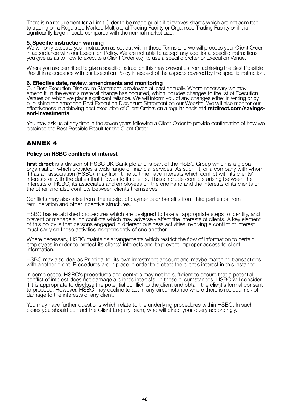There is no requirement for a Limit Order to be made public if it involves shares which are not admitted to trading on a Regulated Market, Multilateral Trading Facility or Organised Trading Facility or if it is significantly large in scale compared with the normal market size.

#### **5. Specific instruction warning**

We will only execute your instruction as set out within these Terms and we will process your Client Order in accordance with our Execution Policy. We are not able to accept any additional specific instructions you give us as to how to execute a Client Order e.g. to use a specific broker or Execution Venue.

Where you are permitted to give a specific instruction this may prevent us from achieving the Best Possible Result in accordance with our Execution Policy in respect of the aspects covered by the specific instruction.

#### **6. Effective date, review, amendments and monitoring**

Our Best Execution Disclosure Statement is reviewed at least annually. Where necessary we may amend it, in the event a material change has occurred, which includes changes to the list of Execution<br>Venues on which we place significant reliance. We will inform you of any changes either in writing or by<br>publishing the effectiveness in achieving best execution of Client Orders on a regular basis at **firstdirect.com/savingsand-investments**

You may ask us at any time in the seven years following a Client Order to provide confirmation of how we obtained the Best Possible Result for the Client Order.

## **ANNEX 4**

#### **Policy on HSBC conflicts of interest**

**first direct** is a division of HSBC UK Bank plc and is part of the HSBC Group which is a global organisation which provides a wide range of financial services. As such, it, or a company with whom it has an association (HSBC), may from time to time have interests which conflict with its clients' interests or with the duties that it owes to its clients. These include conflicts arising between the interests of HSBC, its associates and employees on the one hand and the interests of its clients on the other and also conflicts between clients themselves.

Conflicts may also arise from the receipt of payments or benefits from third parties or from remuneration and other incentive structures.

HSBC has established procedures which are designed to take all appropriate steps to identify, and prevent or manage such conflicts which may adversely affect the interests of clients. A key element of this policy is that persons engaged in different business activities involving a conflict of interest must carry on those activities independently of one another.

Where necessary, HSBC maintains arrangements which restrict the flow of information to certain employees in order to protect its clients' interests and to prevent improper access to client information.

HSBC may also deal as Principal for its own investment account and maybe matching transactions with another client. Procedures are in place in order to protect the client's interest in this instance.

In some cases, HSBC's procedures and controls may not be sufficient to ensure that a potential conflict of interest does not damage a client's interests. In these circumstances, HSBC will consider if it is appropriate to disclose the potential conflict to the client and obtain the client's formal consent to proceed. However, HSBC may decline to act in any circumstance where there is residual risk of damage to the interests of any client.

You may have further questions which relate to the underlying procedures within HSBC. In such cases you should contact the Client Enquiry team, who will direct your query accordingly.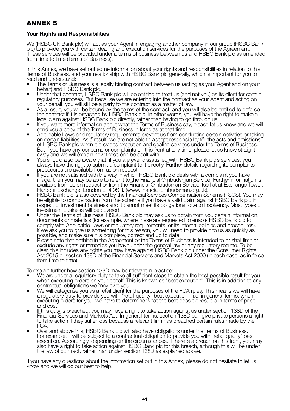## **ANNEX 5**

#### **Your Rights and Responsibilities**

We (HSBC UK Bank plc) will act as your Agent in engaging another company in our group (HSBC Bank plc) to provide you with certain dealing and execution services for the purposes of the Agreement. These services will be provided under a terms of business between us and HSBC Bank plc as amended from time to time (Terms of Business).

In this Annex, we have set out some information about your rights and responsibilities in relation to this Terms of Business, and your relationship with HSBC Bank plc generally, which is important for you to read and understand:

- The Terms of Business is a legally binding contract between us (acting as your Agent and on your<br>behalft and HSBC Bank plc.
- Under that contract, HSBC Bank plc will be entitled to treat us (and not you) as its client for certain regulatory purposes. But because we are entering into the contract as your Agent and acting on<br>your behalf, you will still be a party to the contract as a matter of law.
- vour behalf, you will still be a party to the contract as a matter of law.<br>
 As a result, you will be bound by the terms of the contract, and you will also be entitled to enforce<br>
the contract if it is breached by HSBC Ba
- 
- send you a copy of the Terms of Business in force as at that time.<br>Applicable Laws and regulatory requirements prevent us from conducting certain activities or taking<br>on certain liabilities. As a result, we are not able to of HSBC Bank plc when it provides execution and dealing services under the Terms of Business. But if you have any concerns or complaints on this front at any time, please let us know straight<br>away and we will explain how these can be dealt with.
- You should also be aware that, if you are ever dissatisfied with HSBC Bank plc's services, you always have the right to submit a complaint to it directly. Further details regarding its complaints
- procedures are available from us on request. If you are not satisfied with the way in which HSBC Bank plc deals with a complaint you have made, then you may be able to refer it to the Financial Ombudsman Service. Further information is available from us on request or from the Financial Ombudsman Service itself at at Exchange Tower,
- Harbour Exchange, London E14 9SR. (www.financial-ombudsman.org.uk).<br>HSBC Bank plc is also covered by the Financial Services Compensation Scheme (FSCS). You may be eligible to compensation from the scheme if you have a valid claim against HSBC Bank plc in respect of investment business and it cannot meet its obligations, due to insolvency. Most types of
- investment business will be covered.<br>Under the Terms of Business, HSBC Bank plc may ask us to obtain from you certain information, documents or materials (for example, where these are requested to enable HSBC Bank plc to comply with Applicable Laws or regulatory requirements, or its internal policies and procedures). If we ask you to give us something for this reason, you will need to provide it to us as quickly as<br>possible, and make sure it is complete, correct and up to date.<br>Please note that nothing in the Agreement or the Terms of
- exclude any rights or remedies you have under the general law or any regulatory regime. To be<br>clear, this includes any rights you may have against HSBC Bank plc under the Consumer Rights Act 2015 or section 138D of the Financial Services and Markets Act 2000 (in each case, as in force from time to time).

To explain further how section 138D may be relevant in practice:

- We are under a regulatory duty to take all sufficient steps to obtain the best possible result for you when executing orders on your behalf. This is known as "best execution". This is in addition to any
- contractual obligations we may owe you.<br>• We will categorise you as a retail client for the purposes of the FCA rules. This means we will have<br>• a regulatory duty to provide you with "retail quality" best execution i.e.
- and cost.<br>If this duty is breached, you may have a right to take action against us under section 138D of the Financial Services and Markets Act. In general terms, section 138D can give private persons a right to take action if they suffer loss because a relevant firm has breached certain rules made by the<br>FCA. The suffer loss because a relevant firm has breached certain rules made by the
- Over and above this, HSBC Bank plc will also have obligations under the Terms of Business. For example, it will be subject to a contractual obligation to provide you with "retail quality" best execution. Accordingly, depending on the circumstances, if there is a breach on this front, you may<br>also have a right to take action against HSBC Bank plc for this breach, although this will be under the law of contract, rather than under section 138D as explained above.

If you have any questions about the information set out in this Annex, please do not hesitate to let us know and we will do our best to help.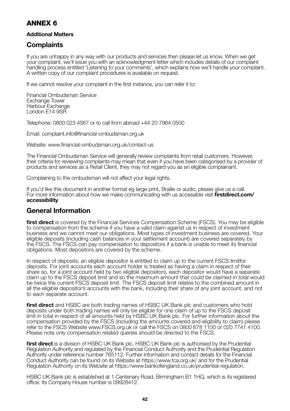## **ANNEX 6**

#### **Additional Matters**

## **Complaints**

If you are unhappy in any way with our products and services then please let us know. When we get your complaint, we'll issue you with an acknowledgment letter which includes details of our complaint handling process entitled 'Listening to your comments', which explains how we'll handle your complaint. A written copy of our complaint procedures is available on request.

If we cannot resolve your complaint in the first instance, you can refer it to:

Financial Ombudsman Service Exchange Tower Harbour Exchange London E14 9SR

Telephone: 0800 023 4567 or to call from abroad +44 20 7964 0500

Email: complaint.info@financial-ombudsman.org.uk

Website: www.financial-ombudsman.org.uk/contact-us

The Financial Ombudsman Service will generally review complaints from retail customers. However, their criteria for reviewing complaints may mean that even if you have been categorised by a provider of products and services as a Retail Client, they may not regard you as an eligible complainant.

Complaining to the ombudsman will not affect your legal rights.

If you'd like this document in another format eg large print, Braille or audio, please give us a call. For more information about how we make communicating with us accessible visit **firstdirect.com/ accessibility**

## **General Information**

**first direct** is covered by the Financial Services Compensation Scheme (FSCS). You may be eligible to compensation from the scheme if you have a valid claim against us in respect of investment business and we cannot meet our obligations. Most types of investment business are covered. Your eligible deposits (including cash balances in your settlement account) are covered separately by the FSCS. The FSCS can pay compensation to depositors if a bank is unable to meet its financial obligations. Most depositors are covered by the scheme.

In respect of deposits, an eligible depositor is entitled to claim up to the current FSCS limitfor deposits. For joint accounts each account holder is treated as having a claim in respect of their share so, for a joint account held by two eligible depositors, each depositor would have a separate claim up to the FSCS deposit limit and so the maximum amount that could be claimed in total would be twice the current FSCS deposit limit. The FSCS deposit limit relates to the combined amount in all the eligible depositor's accounts with the bank, including their share of any joint account, and not to each separate account.

**first direct** and HSBC are both trading names of HSBC UK Bank plc and customers who hold deposits under both trading names will only be eligible for one claim of up to the FSCS deposit limit in total in respect of all amounts held by HSBC UK Bank plc. For further information about the compensation provided by the FSCS (including the amounts covered and eligibility to claim) please refer to the FSCS Website www.FSCS.org.uk or call the FSCS on 0800 678 1100 or 020 7741 4100. Please note only compensation related queries should be directed to the FSCS.

**first direct** is a division of HSBC UK Bank plc. HSBC UK Bank plc is authorised by the Prudential Regulation Authority and regulated by the Financial Conduct Authority and the Prudential Regulation Authority under reference number 765112. Further information and contact details for the Financial Conduct Authority can be found on its Website at https://www.fca.org.uk/ and for the Prudential Regulation Authority on its Website at https://www.bankofengland.co.uk/prudential-regulation.

HSBC UK Bank plc is established at 1 Centenary Road, Birmingham B1 1HQ, which is its registered office. Its Company House number is 09928412.